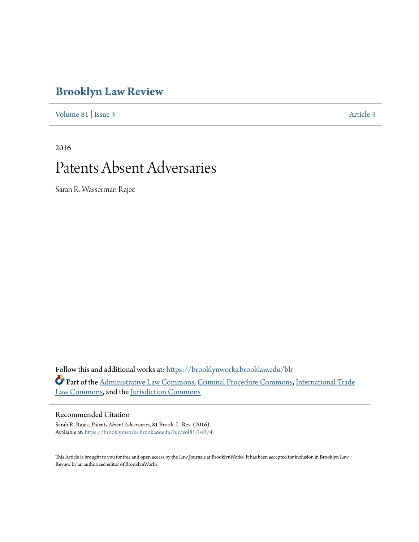# **[Brooklyn Law Review](https://brooklynworks.brooklaw.edu/blr?utm_source=brooklynworks.brooklaw.edu%2Fblr%2Fvol81%2Fiss3%2F4&utm_medium=PDF&utm_campaign=PDFCoverPages)**

[Volume 81](https://brooklynworks.brooklaw.edu/blr/vol81?utm_source=brooklynworks.brooklaw.edu%2Fblr%2Fvol81%2Fiss3%2F4&utm_medium=PDF&utm_campaign=PDFCoverPages) | [Issue 3](https://brooklynworks.brooklaw.edu/blr/vol81/iss3?utm_source=brooklynworks.brooklaw.edu%2Fblr%2Fvol81%2Fiss3%2F4&utm_medium=PDF&utm_campaign=PDFCoverPages) [Article 4](https://brooklynworks.brooklaw.edu/blr/vol81/iss3/4?utm_source=brooklynworks.brooklaw.edu%2Fblr%2Fvol81%2Fiss3%2F4&utm_medium=PDF&utm_campaign=PDFCoverPages)

2016

# Patents Absent Adversaries

Sarah R. Wasserman Rajec

Follow this and additional works at: [https://brooklynworks.brooklaw.edu/blr](https://brooklynworks.brooklaw.edu/blr?utm_source=brooklynworks.brooklaw.edu%2Fblr%2Fvol81%2Fiss3%2F4&utm_medium=PDF&utm_campaign=PDFCoverPages) Part of the [Administrative Law Commons,](http://network.bepress.com/hgg/discipline/579?utm_source=brooklynworks.brooklaw.edu%2Fblr%2Fvol81%2Fiss3%2F4&utm_medium=PDF&utm_campaign=PDFCoverPages) [Criminal Procedure Commons,](http://network.bepress.com/hgg/discipline/1073?utm_source=brooklynworks.brooklaw.edu%2Fblr%2Fvol81%2Fiss3%2F4&utm_medium=PDF&utm_campaign=PDFCoverPages) [International Trade](http://network.bepress.com/hgg/discipline/848?utm_source=brooklynworks.brooklaw.edu%2Fblr%2Fvol81%2Fiss3%2F4&utm_medium=PDF&utm_campaign=PDFCoverPages) [Law Commons](http://network.bepress.com/hgg/discipline/848?utm_source=brooklynworks.brooklaw.edu%2Fblr%2Fvol81%2Fiss3%2F4&utm_medium=PDF&utm_campaign=PDFCoverPages), and the [Jurisdiction Commons](http://network.bepress.com/hgg/discipline/850?utm_source=brooklynworks.brooklaw.edu%2Fblr%2Fvol81%2Fiss3%2F4&utm_medium=PDF&utm_campaign=PDFCoverPages)

# Recommended Citation

Sarah R. Rajec, *Patents Absent Adversaries*, 81 Brook. L. Rev. (2016). Available at: [https://brooklynworks.brooklaw.edu/blr/vol81/iss3/4](https://brooklynworks.brooklaw.edu/blr/vol81/iss3/4?utm_source=brooklynworks.brooklaw.edu%2Fblr%2Fvol81%2Fiss3%2F4&utm_medium=PDF&utm_campaign=PDFCoverPages)

This Article is brought to you for free and open access by the Law Journals at BrooklynWorks. It has been accepted for inclusion in Brooklyn Law Review by an authorized editor of BrooklynWorks.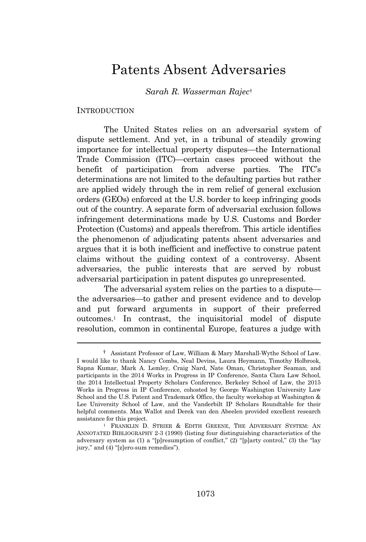# Patents Absent Adversaries

*Sarah R. Wasserman Rajec*†

#### **INTRODUCTION**

The United States relies on an adversarial system of dispute settlement. And yet, in a tribunal of steadily growing importance for intellectual property disputes—the International Trade Commission (ITC)—certain cases proceed without the benefit of participation from adverse parties. The ITC's determinations are not limited to the defaulting parties but rather are applied widely through the in rem relief of general exclusion orders (GEOs) enforced at the U.S. border to keep infringing goods out of the country. A separate form of adversarial exclusion follows infringement determinations made by U.S. Customs and Border Protection (Customs) and appeals therefrom. This article identifies the phenomenon of adjudicating patents absent adversaries and argues that it is both inefficient and ineffective to construe patent claims without the guiding context of a controversy. Absent adversaries, the public interests that are served by robust adversarial participation in patent disputes go unrepresented.

The adversarial system relies on the parties to a dispute the adversaries—to gather and present evidence and to develop and put forward arguments in support of their preferred outcomes.<sup>1</sup> In contrast, the inquisitorial model of dispute resolution, common in continental Europe, features a judge with

<sup>†</sup> Assistant Professor of Law, William & Mary Marshall-Wythe School of Law. I would like to thank Nancy Combs, Neal Devins, Laura Heymann, Timothy Holbrook, Sapna Kumar, Mark A. Lemley, Craig Nard, Nate Oman, Christopher Seaman, and participants in the 2014 Works in Progress in IP Conference, Santa Clara Law School, the 2014 Intellectual Property Scholars Conference, Berkeley School of Law, the 2015 Works in Progress in IP Conference, cohosted by George Washington University Law School and the U.S. Patent and Trademark Office, the faculty workshop at Washington & Lee University School of Law, and the Vanderbilt IP Scholars Roundtable for their helpful comments. Max Wallot and Derek van den Abeelen provided excellent research assistance for this project.

<sup>1</sup> FRANKLIN D. STRIER & EDITH GREENE, THE ADVERSARY SYSTEM: AN ANNOTATED BIBLIOGRAPHY 2-3 (1990) (listing four distinguishing characteristics of the adversary system as (1) a "[p]resumption of conflict," (2) "[p]arty control," (3) the "lay jury," and (4) "[z]ero-sum remedies").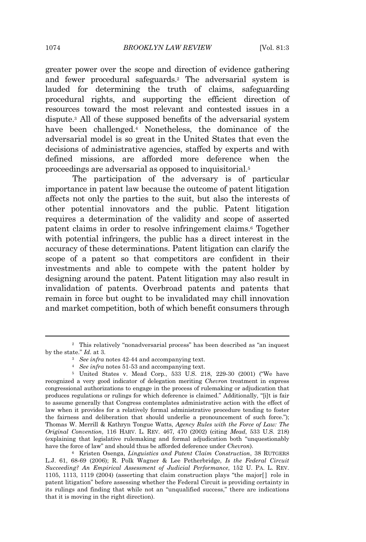greater power over the scope and direction of evidence gathering and fewer procedural safeguards.<sup>2</sup> The adversarial system is lauded for determining the truth of claims, safeguarding procedural rights, and supporting the efficient direction of resources toward the most relevant and contested issues in a dispute.<sup>3</sup> All of these supposed benefits of the adversarial system have been challenged.<sup>4</sup> Nonetheless, the dominance of the adversarial model is so great in the United States that even the decisions of administrative agencies, staffed by experts and with defined missions, are afforded more deference when the proceedings are adversarial as opposed to inquisitorial.<sup>5</sup>

The participation of the adversary is of particular importance in patent law because the outcome of patent litigation affects not only the parties to the suit, but also the interests of other potential innovators and the public. Patent litigation requires a determination of the validity and scope of asserted patent claims in order to resolve infringement claims.<sup>6</sup> Together with potential infringers, the public has a direct interest in the accuracy of these determinations. Patent litigation can clarify the scope of a patent so that competitors are confident in their investments and able to compete with the patent holder by designing around the patent. Patent litigation may also result in invalidation of patents. Overbroad patents and patents that remain in force but ought to be invalidated may chill innovation and market competition, both of which benefit consumers through

<sup>4</sup> *See infra* notes 51-53 and accompanying text.

<sup>6</sup> Kristen Osenga, *Linguistics and Patent Claim Construction*, 38 RUTGERS L.J. 61, 68-69 (2006); R. Polk Wagner & Lee Petherbridge, *Is the Federal Circuit Succeeding? An Empirical Assessment of Judicial Performance*, 152 U. PA. L. REV. 1105, 1113, 1119 (2004) (asserting that claim construction plays "the major[ ] role in patent litigation" before assessing whether the Federal Circuit is providing certainty in its rulings and finding that while not an "unqualified success," there are indications that it is moving in the right direction).

<sup>2</sup> This relatively "nonadversarial process" has been described as "an inquest by the state." *Id.* at 3.

<sup>3</sup> *See infra* notes 42-44 and accompanying text.

<sup>5</sup> United States v. Mead Corp., 533 U.S. 218, 229-30 (2001) ("We have recognized a very good indicator of delegation meriting *Chevron* treatment in express congressional authorizations to engage in the process of rulemaking or adjudication that produces regulations or rulings for which deference is claimed." Additionally, "[i]t is fair to assume generally that Congress contemplates administrative action with the effect of law when it provides for a relatively formal administrative procedure tending to foster the fairness and deliberation that should underlie a pronouncement of such force."); Thomas W. Merrill & Kathryn Tongue Watts, *Agency Rules with the Force of Law: The Original Convention*, 116 HARV. L. REV. 467, 470 (2002) (citing *Mead*, 533 U.S. 218) (explaining that legislative rulemaking and formal adjudication both "unquestionably have the force of law" and should thus be afforded deference under *Chevron*).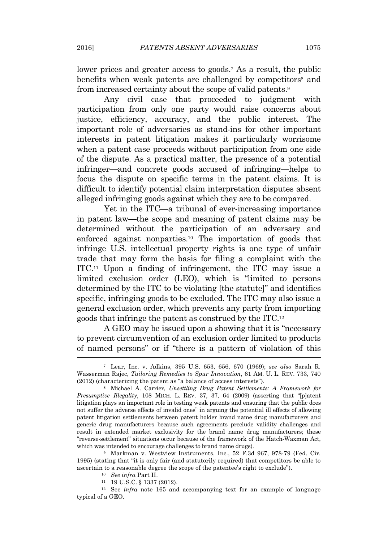lower prices and greater access to goods.<sup>7</sup> As a result, the public benefits when weak patents are challenged by competitors<sup>8</sup> and from increased certainty about the scope of valid patents.<sup>9</sup>

Any civil case that proceeded to judgment with participation from only one party would raise concerns about justice, efficiency, accuracy, and the public interest. The important role of adversaries as stand-ins for other important interests in patent litigation makes it particularly worrisome when a patent case proceeds without participation from one side of the dispute. As a practical matter, the presence of a potential infringer—and concrete goods accused of infringing—helps to focus the dispute on specific terms in the patent claims. It is difficult to identify potential claim interpretation disputes absent alleged infringing goods against which they are to be compared.

Yet in the ITC—a tribunal of ever-increasing importance in patent law—the scope and meaning of patent claims may be determined without the participation of an adversary and enforced against nonparties.<sup>10</sup> The importation of goods that infringe U.S. intellectual property rights is one type of unfair trade that may form the basis for filing a complaint with the ITC.<sup>11</sup> Upon a finding of infringement, the ITC may issue a limited exclusion order (LEO), which is "limited to persons determined by the ITC to be violating [the statute]" and identifies specific, infringing goods to be excluded. The ITC may also issue a general exclusion order, which prevents any party from importing goods that infringe the patent as construed by the ITC.<sup>12</sup>

A GEO may be issued upon a showing that it is "necessary to prevent circumvention of an exclusion order limited to products of named persons" or if "there is a pattern of violation of this

<sup>9</sup> Markman v. Westview Instruments, Inc., 52 F.3d 967, 978-79 (Fed. Cir. 1995) (stating that "it is only fair (and statutorily required) that competitors be able to ascertain to a reasonable degree the scope of the patentee's right to exclude").

<sup>12</sup> See *infra* note 165 and accompanying text for an example of language typical of a GEO.

<sup>7</sup> Lear, Inc. v. Adkins, 395 U.S. 653, 656, 670 (1969); *see also* Sarah R. Wasserman Rajec, *Tailoring Remedies to Spur Innovation*, 61 AM. U. L. REV. 733, 740 (2012) (characterizing the patent as "a balance of access interests").

<sup>8</sup> Michael A. Carrier, *Unsettling Drug Patent Settlements: A Framework for Presumptive Illegality*, 108 MICH. L. REV. 37, 37, 64 (2009) (asserting that "[p]atent litigation plays an important role in testing weak patents and ensuring that the public does not suffer the adverse effects of invalid ones" in arguing the potential ill effects of allowing patent litigation settlements between patent holder brand name drug manufacturers and generic drug manufacturers because such agreements preclude validity challenges and result in extended market exclusivity for the brand name drug manufacturers; these "reverse-settlement" situations occur because of the framework of the Hatch-Waxman Act, which was intended to encourage challenges to brand name drugs).

<sup>10</sup> *See infra* Part II.

<sup>11</sup> 19 U.S.C. § 1337 (2012).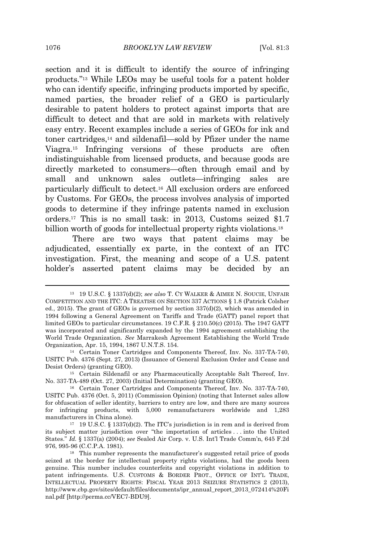section and it is difficult to identify the source of infringing products." <sup>13</sup> While LEOs may be useful tools for a patent holder who can identify specific, infringing products imported by specific, named parties, the broader relief of a GEO is particularly desirable to patent holders to protect against imports that are difficult to detect and that are sold in markets with relatively easy entry. Recent examples include a series of GEOs for ink and toner cartridges,<sup>14</sup> and sildenafil—sold by Pfizer under the name Viagra.<sup>15</sup> Infringing versions of these products are often indistinguishable from licensed products, and because goods are directly marketed to consumers—often through email and by small and unknown sales outlets—infringing sales are particularly difficult to detect.<sup>16</sup> All exclusion orders are enforced by Customs. For GEOs, the process involves analysis of imported goods to determine if they infringe patents named in exclusion orders.<sup>17</sup> This is no small task: in 2013, Customs seized \$1.7 billion worth of goods for intellectual property rights violations.<sup>18</sup>

There are two ways that patent claims may be adjudicated, essentially ex parte, in the context of an ITC investigation. First, the meaning and scope of a U.S. patent holder's asserted patent claims may be decided by an

<sup>13</sup> 19 U.S.C. § 1337(d)(2); *see also* T. C<sup>Y</sup> WALKER & AIMEE N. SOUCIE, UNFAIR COMPETITION AND THE ITC: A TREATISE ON SECTION 337 ACTIONS § 1.8 (Patrick Colsher ed., 2015). The grant of GEOs is governed by section 337(d)(2), which was amended in 1994 following a General Agreement on Tariffs and Trade (GATT) panel report that limited GEOs to particular circumstances. 19 C.F.R. § 210.50(c) (2015). The 1947 GATT was incorporated and significantly expanded by the 1994 agreement establishing the World Trade Organization. *See* Marrakesh Agreement Establishing the World Trade Organization, Apr. 15, 1994, 1867 U.N.T.S. 154.

<sup>14</sup> Certain Toner Cartridges and Components Thereof, Inv. No. 337-TA-740, USITC Pub. 4376 (Sept. 27, 2013) (Issuance of General Exclusion Order and Cease and Desist Orders) (granting GEO).

<sup>15</sup> Certain Sildenafil or any Pharmaceutically Acceptable Salt Thereof, Inv. No. 337-TA-489 (Oct. 27, 2003) (Initial Determination) (granting GEO).

<sup>16</sup> Certain Toner Cartridges and Components Thereof, Inv. No. 337-TA-740, USITC Pub. 4376 (Oct. 5, 2011) (Commission Opinion) (noting that Internet sales allow for obfuscation of seller identity, barriers to entry are low, and there are many sources for infringing products, with 5,000 remanufacturers worldwide and 1,283 manufacturers in China alone).

 $17$  19 U.S.C. § 1337(d)(2). The ITC's jurisdiction is in rem and is derived from its subject matter jurisdiction over "the importation of articles . . . into the United States." *Id.* § 1337(a) (2004); *see* Sealed Air Corp. v. U.S. Int'l Trade Comm'n, 645 F.2d 976, 995-96 (C.C.P.A. 1981).

<sup>&</sup>lt;sup>18</sup> This number represents the manufacturer's suggested retail price of goods seized at the border for intellectual property rights violations, had the goods been genuine. This number includes counterfeits and copyright violations in addition to patent infringements. U.S. CUSTOMS & BORDER PROT., OFFICE OF INT'<sup>L</sup> TRADE, INTELLECTUAL PROPERTY RIGHTS: FISCAL YEAR 2013 SEIZURE STATISTICS 2 (2013), http://www.cbp.gov/sites/default/files/documents/ipr\_annual\_report\_2013\_072414%20Fi nal.pdf [http://perma.cc/VEC7-BDU9].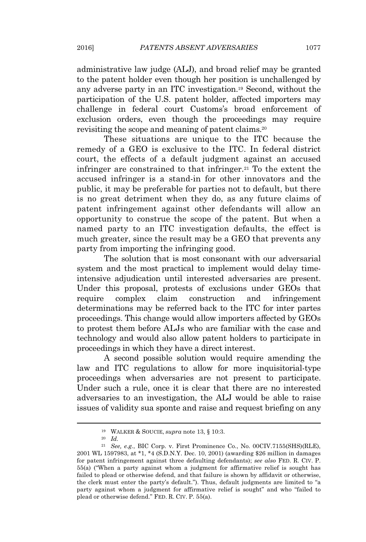administrative law judge (ALJ), and broad relief may be granted to the patent holder even though her position is unchallenged by any adverse party in an ITC investigation.<sup>19</sup> Second, without the participation of the U.S. patent holder, affected importers may challenge in federal court Customs's broad enforcement of exclusion orders, even though the proceedings may require revisiting the scope and meaning of patent claims.<sup>20</sup>

These situations are unique to the ITC because the remedy of a GEO is exclusive to the ITC. In federal district court, the effects of a default judgment against an accused infringer are constrained to that infringer.<sup>21</sup> To the extent the accused infringer is a stand-in for other innovators and the public, it may be preferable for parties not to default, but there is no great detriment when they do, as any future claims of patent infringement against other defendants will allow an opportunity to construe the scope of the patent. But when a named party to an ITC investigation defaults, the effect is much greater, since the result may be a GEO that prevents any party from importing the infringing good.

The solution that is most consonant with our adversarial system and the most practical to implement would delay timeintensive adjudication until interested adversaries are present. Under this proposal, protests of exclusions under GEOs that require complex claim construction and infringement determinations may be referred back to the ITC for inter partes proceedings. This change would allow importers affected by GEOs to protest them before ALJs who are familiar with the case and technology and would also allow patent holders to participate in proceedings in which they have a direct interest.

A second possible solution would require amending the law and ITC regulations to allow for more inquisitorial-type proceedings when adversaries are not present to participate. Under such a rule, once it is clear that there are no interested adversaries to an investigation, the ALJ would be able to raise issues of validity sua sponte and raise and request briefing on any

<sup>19</sup> WALKER & SOUCIE, *supra* note 13, § 10:3.

<sup>20</sup> *Id.*

<sup>21</sup> *See, e.g.*, BIC Corp. v. First Prominence Co., No. 00CIV.7155(SHS)(RLE), 2001 WL 1597983, at \*1, \*4 (S.D.N.Y. Dec. 10, 2001) (awarding \$26 million in damages for patent infringement against three defaulting defendants); *see also* FED. R. CIV. P. 55(a) ("When a party against whom a judgment for affirmative relief is sought has failed to plead or otherwise defend, and that failure is shown by affidavit or otherwise, the clerk must enter the party's default."). Thus, default judgments are limited to "a party against whom a judgment for affirmative relief is sought" and who "failed to plead or otherwise defend." FED. R. CIV. P. 55(a).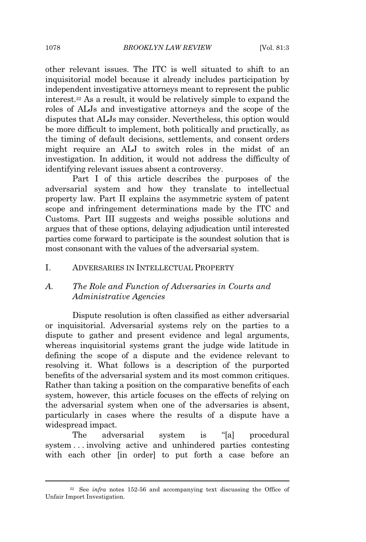other relevant issues. The ITC is well situated to shift to an inquisitorial model because it already includes participation by independent investigative attorneys meant to represent the public interest.<sup>22</sup> As a result, it would be relatively simple to expand the roles of ALJs and investigative attorneys and the scope of the disputes that ALJs may consider. Nevertheless, this option would be more difficult to implement, both politically and practically, as the timing of default decisions, settlements, and consent orders might require an ALJ to switch roles in the midst of an investigation. In addition, it would not address the difficulty of identifying relevant issues absent a controversy.

Part I of this article describes the purposes of the adversarial system and how they translate to intellectual property law. Part II explains the asymmetric system of patent scope and infringement determinations made by the ITC and Customs. Part III suggests and weighs possible solutions and argues that of these options, delaying adjudication until interested parties come forward to participate is the soundest solution that is most consonant with the values of the adversarial system.

#### I. ADVERSARIES IN INTELLECTUAL PROPERTY

## *A. The Role and Function of Adversaries in Courts and Administrative Agencies*

Dispute resolution is often classified as either adversarial or inquisitorial. Adversarial systems rely on the parties to a dispute to gather and present evidence and legal arguments, whereas inquisitorial systems grant the judge wide latitude in defining the scope of a dispute and the evidence relevant to resolving it. What follows is a description of the purported benefits of the adversarial system and its most common critiques. Rather than taking a position on the comparative benefits of each system, however, this article focuses on the effects of relying on the adversarial system when one of the adversaries is absent, particularly in cases where the results of a dispute have a widespread impact.

The adversarial system is "[a] procedural system . . . involving active and unhindered parties contesting with each other [in order] to put forth a case before an

<sup>22</sup> See *infra* notes 152-56 and accompanying text discussing the Office of Unfair Import Investigation.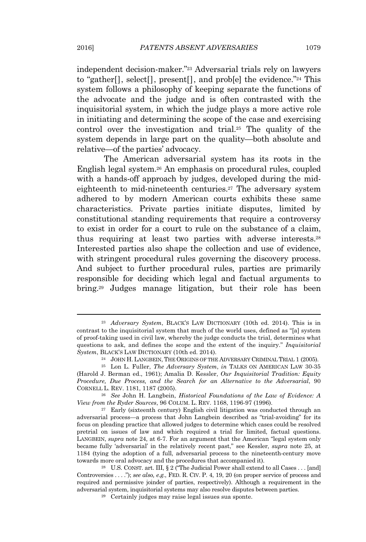independent decision-maker." <sup>23</sup> Adversarial trials rely on lawyers to "gather<sup>[]</sup>, select<sup>[]</sup>, present<sup>[]</sup>, and prob<sup>[e]</sup> the evidence."<sup>24</sup> This system follows a philosophy of keeping separate the functions of the advocate and the judge and is often contrasted with the inquisitorial system, in which the judge plays a more active role in initiating and determining the scope of the case and exercising control over the investigation and trial.<sup>25</sup> The quality of the system depends in large part on the quality—both absolute and relative—of the parties' advocacy.

The American adversarial system has its roots in the English legal system.<sup>26</sup> An emphasis on procedural rules, coupled with a hands-off approach by judges, developed during the mideighteenth to mid-nineteenth centuries.<sup>27</sup> The adversary system adhered to by modern American courts exhibits these same characteristics. Private parties initiate disputes, limited by constitutional standing requirements that require a controversy to exist in order for a court to rule on the substance of a claim, thus requiring at least two parties with adverse interests.<sup>28</sup> Interested parties also shape the collection and use of evidence, with stringent procedural rules governing the discovery process. And subject to further procedural rules, parties are primarily responsible for deciding which legal and factual arguments to bring.<sup>29</sup> Judges manage litigation, but their role has been

<sup>23</sup> *Adversary System*, BLACK'<sup>S</sup> LAW DICTIONARY (10th ed. 2014). This is in contrast to the inquisitorial system that much of the world uses, defined as "[a] system of proof-taking used in civil law, whereby the judge conducts the trial, determines what questions to ask, and defines the scope and the extent of the inquiry." *Inquisitorial System*, BLACK'<sup>S</sup> LAW DICTIONARY (10th ed. 2014).

<sup>24</sup> JOHN H. LANGBEIN, THE ORIGINS OF THE ADVERSARY CRIMINAL TRIAL 1 (2005).

<sup>25</sup> Lon L. Fuller, *The Adversary System*, *in* TALKS ON AMERICAN LAW 30-35 (Harold J. Berman ed., 1961); Amalia D. Kessler, *Our Inquisitorial Tradition: Equity Procedure, Due Process, and the Search for an Alternative to the Adversarial*, 90 CORNELL L. REV. 1181, 1187 (2005).

<sup>26</sup> *See* John H. Langbein, *Historical Foundations of the Law of Evidence: A View from the Ryder Sources*, 96 COLUM. L. REV. 1168, 1196-97 (1996).

 $27$  Early (sixteenth century) English civil litigation was conducted through an adversarial process—a process that John Langbein described as "trial-avoiding" for its focus on pleading practice that allowed judges to determine which cases could be resolved pretrial on issues of law and which required a trial for limited, factual questions. LANGBEIN, *supra* note 24, at 6-7. For an argument that the American "legal system only became fully 'adversarial' in the relatively recent past," see Kessler, *supra* note 25, at 1184 (tying the adoption of a full, adversarial process to the nineteenth-century move towards more oral advocacy and the procedures that accompanied it).

<sup>&</sup>lt;sup>28</sup> U.S. CONST. art. III, § 2 ("The Judicial Power shall extend to all Cases . . . [and] Controversies . . . ."); *see also, e.g.*, FED. R. CIV. P. 4, 19, 20 (on proper service of process and required and permissive joinder of parties, respectively). Although a requirement in the adversarial system, inquisitorial systems may also resolve disputes between parties.

<sup>29</sup> Certainly judges may raise legal issues sua sponte.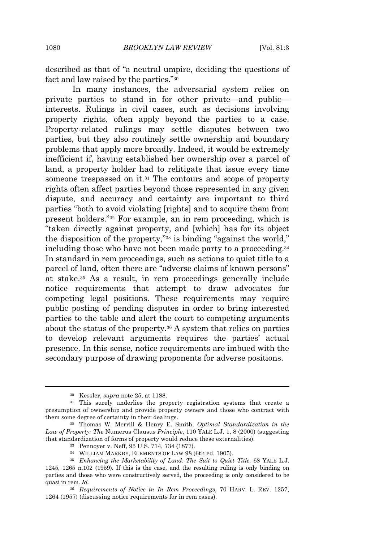described as that of "a neutral umpire, deciding the questions of fact and law raised by the parties."<sup>30</sup>

In many instances, the adversarial system relies on private parties to stand in for other private—and public interests. Rulings in civil cases, such as decisions involving property rights, often apply beyond the parties to a case. Property-related rulings may settle disputes between two parties, but they also routinely settle ownership and boundary problems that apply more broadly. Indeed, it would be extremely inefficient if, having established her ownership over a parcel of land, a property holder had to relitigate that issue every time someone trespassed on it.<sup>31</sup> The contours and scope of property rights often affect parties beyond those represented in any given dispute, and accuracy and certainty are important to third parties "both to avoid violating [rights] and to acquire them from present holders." <sup>32</sup> For example, an in rem proceeding, which is "taken directly against property, and [which] has for its object the disposition of the property," <sup>33</sup> is binding "against the world," including those who have not been made party to a proceeding.<sup>34</sup> In standard in rem proceedings, such as actions to quiet title to a parcel of land, often there are "adverse claims of known persons" at stake.<sup>35</sup> As a result, in rem proceedings generally include notice requirements that attempt to draw advocates for competing legal positions. These requirements may require public posting of pending disputes in order to bring interested parties to the table and alert the court to competing arguments about the status of the property.<sup>36</sup> A system that relies on parties to develop relevant arguments requires the parties' actual presence. In this sense, notice requirements are imbued with the secondary purpose of drawing proponents for adverse positions.

<sup>30</sup> Kessler, *supra* note 25, at 1188.

<sup>&</sup>lt;sup>31</sup> This surely underlies the property registration systems that create a presumption of ownership and provide property owners and those who contract with them some degree of certainty in their dealings.

<sup>32</sup> Thomas W. Merrill & Henry E. Smith, *Optimal Standardization in the Law of Property: The* Numerus Clausus *Principle*, 110 YALE L.J. 1, 8 (2000) (suggesting that standardization of forms of property would reduce these externalities).

<sup>33</sup> Pennoyer v. Neff, 95 U.S. 714, 734 (1877).

<sup>34</sup> WILLIAM MARKBY, ELEMENTS OF LAW 98 (6th ed. 1905).

<sup>35</sup> *Enhancing the Marketability of Land: The Suit to Quiet Title*, 68 YALE L.J. 1245, 1265 n.102 (1959). If this is the case, and the resulting ruling is only binding on parties and those who were constructively served, the proceeding is only considered to be quasi in rem. *Id.*

<sup>36</sup> *Requirements of Notice in In Rem Proceedings*, 70 HARV. L. REV. 1257, 1264 (1957) (discussing notice requirements for in rem cases).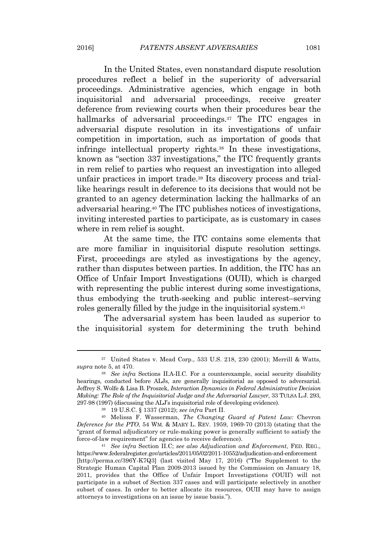In the United States, even nonstandard dispute resolution procedures reflect a belief in the superiority of adversarial proceedings. Administrative agencies, which engage in both inquisitorial and adversarial proceedings, receive greater deference from reviewing courts when their procedures bear the hallmarks of adversarial proceedings.<sup>37</sup> The ITC engages in adversarial dispute resolution in its investigations of unfair competition in importation, such as importation of goods that infringe intellectual property rights.<sup>38</sup> In these investigations, known as "section 337 investigations," the ITC frequently grants in rem relief to parties who request an investigation into alleged unfair practices in import trade.<sup>39</sup> Its discovery process and triallike hearings result in deference to its decisions that would not be granted to an agency determination lacking the hallmarks of an adversarial hearing.<sup>40</sup> The ITC publishes notices of investigations, inviting interested parties to participate, as is customary in cases where in rem relief is sought.

At the same time, the ITC contains some elements that are more familiar in inquisitorial dispute resolution settings. First, proceedings are styled as investigations by the agency, rather than disputes between parties. In addition, the ITC has an Office of Unfair Import Investigations (OUII), which is charged with representing the public interest during some investigations. thus embodying the truth-seeking and public interest–serving roles generally filled by the judge in the inquisitorial system.<sup>41</sup>

The adversarial system has been lauded as superior to the inquisitorial system for determining the truth behind

<sup>37</sup> United States v. Mead Corp., 533 U.S. 218, 230 (2001); Merrill & Watts, *supra* note 5, at 470.

<sup>38</sup> *See infra* Sections II.A-II.C. For a counterexample, social security disability hearings, conducted before ALJs, are generally inquisitorial as opposed to adversarial. Jeffrey S. Wolfe & Lisa B. Proszek, *Interaction Dynamics in Federal Administrative Decision Making: The Role of the Inquisitorial Judge and the Adversarial Lawyer*, 33 TULSA L.J. 293, 297-98 (1997) (discussing the ALJ's inquisitorial role of developing evidence).

<sup>39</sup> 19 U.S.C. § 1337 (2012); *see infra* Part II.

<sup>40</sup> Melissa F. Wasserman, *The Changing Guard of Patent Law:* Chevron *Deference for the PTO*, 54 WM. & MARY L. REV. 1959, 1969-70 (2013) (stating that the "grant of formal adjudicatory or rule-making power is generally sufficient to satisfy the force-of-law requirement" for agencies to receive deference).

<sup>41</sup> *See infra* Section II.C; *see also Adjudication and Enforcement*, FED. REG., https://www.federalregister.gov/articles/2011/05/02/2011-10552/adjudication-and-enforcement [http://perma.cc/396Y-K7Q3] (last visited May 17, 2016) ("The Supplement to the Strategic Human Capital Plan 2009-2013 issued by the Commission on January 18, 2011, provides that the Office of Unfair Import Investigations ('OUII') will not participate in a subset of Section 337 cases and will participate selectively in another subset of cases. In order to better allocate its resources, OUII may have to assign attorneys to investigations on an issue by issue basis.").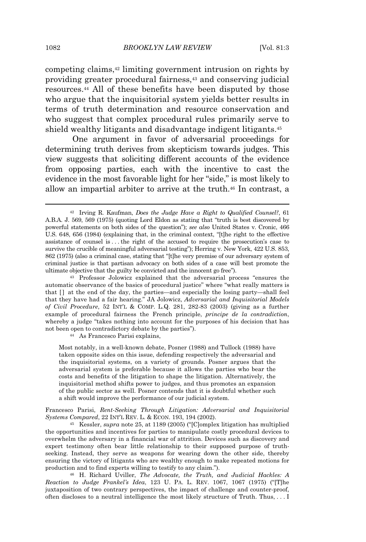competing claims,<sup>42</sup> limiting government intrusion on rights by providing greater procedural fairness,<sup>43</sup> and conserving judicial resources.<sup>44</sup> All of these benefits have been disputed by those who argue that the inquisitorial system yields better results in terms of truth determination and resource conservation and who suggest that complex procedural rules primarily serve to shield wealthy litigants and disadvantage indigent litigants.<sup>45</sup>

One argument in favor of adversarial proceedings for determining truth derives from skepticism towards judges. This view suggests that soliciting different accounts of the evidence from opposing parties, each with the incentive to cast the evidence in the most favorable light for her "side," is most likely to allow an impartial arbiter to arrive at the truth.<sup>46</sup> In contrast, a

<sup>43</sup> Professor Jolowicz explained that the adversarial process "ensures the automatic observance of the basics of procedural justice" where "what really matters is that  $\lceil \cdot \rceil$  at the end of the day, the parties—and especially the losing party—shall feel that they have had a fair hearing." JA Jolowicz, *Adversarial and Inquisitorial Models of Civil Procedure*, 52 INT'<sup>L</sup> & COMP. L.Q. 281, 282-83 (2003) (giving as a further example of procedural fairness the French principle, *principe de la contradiction*, whereby a judge "takes nothing into account for the purposes of his decision that has not been open to contradictory debate by the parties").

<sup>44</sup> As Francesco Parisi explains,

Most notably, in a well-known debate, Posner (1988) and Tullock (1988) have taken opposite sides on this issue, defending respectively the adversarial and the inquisitorial systems, on a variety of grounds. Posner argues that the adversarial system is preferable because it allows the parties who bear the costs and benefits of the litigation to shape the litigation. Alternatively, the inquisitorial method shifts power to judges, and thus promotes an expansion of the public sector as well. Posner contends that it is doubtful whether such a shift would improve the performance of our judicial system.

Francesco Parisi, *Rent-Seeking Through Litigation: Adversarial and Inquisitorial Systems Compared*, 22 INT'<sup>L</sup> REV. L. & ECON. 193, 194 (2002).

<sup>45</sup> Kessler, *supra* note 25, at 1189 (2005) ("[C]omplex litigation has multiplied the opportunities and incentives for parties to manipulate costly procedural devices to overwhelm the adversary in a financial war of attrition. Devices such as discovery and expert testimony often bear little relationship to their supposed purpose of truthseeking. Instead, they serve as weapons for wearing down the other side, thereby ensuring the victory of litigants who are wealthy enough to make repeated motions for production and to find experts willing to testify to any claim.").

<sup>46</sup> H. Richard Uviller, *The Advocate, the Truth, and Judicial Hackles: A Reaction to Judge Frankel's Idea*, 123 U. PA. L. REV. 1067, 1067 (1975) ("[T]he juxtaposition of two contrary perspectives, the impact of challenge and counter-proof, often discloses to a neutral intelligence the most likely structure of Truth. Thus, . . . I

<sup>42</sup> Irving R. Kaufman, *Does the Judge Have a Right to Qualified Counsel?*, 61 A.B.A. J. 569, 569 (1975) (quoting Lord Eldon as stating that "truth is best discovered by powerful statements on both sides of the question"); *see also* United States v. Cronic, 466 U.S. 648, 656 (1984) (explaining that, in the criminal context, "[t]he right to the effective assistance of counsel is . . . the right of the accused to require the prosecution's case to survive the crucible of meaningful adversarial testing"); Herring v. New York, 422 U.S. 853, 862 (1975) (also a criminal case, stating that "[t]he very premise of our adversary system of criminal justice is that partisan advocacy on both sides of a case will best promote the ultimate objective that the guilty be convicted and the innocent go free").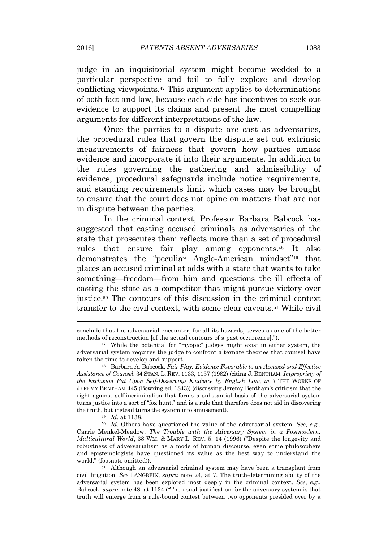judge in an inquisitorial system might become wedded to a particular perspective and fail to fully explore and develop conflicting viewpoints.<sup>47</sup> This argument applies to determinations of both fact and law, because each side has incentives to seek out evidence to support its claims and present the most compelling arguments for different interpretations of the law.

Once the parties to a dispute are cast as adversaries, the procedural rules that govern the dispute set out extrinsic measurements of fairness that govern how parties amass evidence and incorporate it into their arguments. In addition to the rules governing the gathering and admissibility of evidence, procedural safeguards include notice requirements, and standing requirements limit which cases may be brought to ensure that the court does not opine on matters that are not in dispute between the parties.

In the criminal context, Professor Barbara Babcock has suggested that casting accused criminals as adversaries of the state that prosecutes them reflects more than a set of procedural rules that ensure fair play among opponents.<sup>48</sup> It also demonstrates the "peculiar Anglo-American mindset" <sup>49</sup> that places an accused criminal at odds with a state that wants to take something—freedom—from him and questions the ill effects of casting the state as a competitor that might pursue victory over justice.<sup>50</sup> The contours of this discussion in the criminal context transfer to the civil context, with some clear caveats.<sup>51</sup> While civil

conclude that the adversarial encounter, for all its hazards, serves as one of the better methods of reconstruction [of the actual contours of a past occurrence].").

<sup>47</sup> While the potential for "myopic" judges might exist in either system, the adversarial system requires the judge to confront alternate theories that counsel have taken the time to develop and support.

<sup>48</sup> Barbara A. Babcock, *Fair Play: Evidence Favorable to an Accused and Effective Assistance of Counsel*, 34 STAN. L. REV. 1133, 1137 (1982) (citing J. BENTHAM, *Impropriety of the Exclusion Put Upon Self-Disserving Evidence by English Law*, *in* 7 THE WORKS OF JEREMY BENTHAM 445 (Bowring ed. 1843)) (discussing Jeremy Bentham's criticism that the right against self-incrimination that forms a substantial basis of the adversarial system turns justice into a sort of "fox hunt," and is a rule that therefore does not aid in discovering the truth, but instead turns the system into amusement).

<sup>49</sup> *Id.* at 1138.

<sup>50</sup> *Id.* Others have questioned the value of the adversarial system. *See, e.g.*, Carrie Menkel-Meadow, *The Trouble with the Adversary System in a Postmodern, Multicultural World*, 38 WM. & MARY L. REV. 5, 14 (1996) ("Despite the longevity and robustness of adversarialism as a mode of human discourse, even some philosophers and epistemologists have questioned its value as the best way to understand the world." (footnote omitted)).

<sup>51</sup> Although an adversarial criminal system may have been a transplant from civil litigation. *See* LANGBEIN, *supra* note 24, at 7. The truth-determining ability of the adversarial system has been explored most deeply in the criminal context. *See*, *e.g.*, Babcock, *supra* note 48, at 1134 ("The usual justification for the adversary system is that truth will emerge from a rule-bound contest between two opponents presided over by a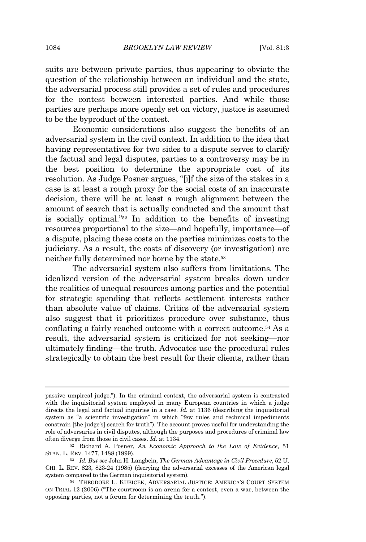suits are between private parties, thus appearing to obviate the question of the relationship between an individual and the state, the adversarial process still provides a set of rules and procedures for the contest between interested parties. And while those parties are perhaps more openly set on victory, justice is assumed to be the byproduct of the contest.

Economic considerations also suggest the benefits of an adversarial system in the civil context. In addition to the idea that having representatives for two sides to a dispute serves to clarify the factual and legal disputes, parties to a controversy may be in the best position to determine the appropriate cost of its resolution. As Judge Posner argues, "[i]f the size of the stakes in a case is at least a rough proxy for the social costs of an inaccurate decision, there will be at least a rough alignment between the amount of search that is actually conducted and the amount that is socially optimal." <sup>52</sup> In addition to the benefits of investing resources proportional to the size—and hopefully, importance—of a dispute, placing these costs on the parties minimizes costs to the judiciary. As a result, the costs of discovery (or investigation) are neither fully determined nor borne by the state.<sup>53</sup>

The adversarial system also suffers from limitations. The idealized version of the adversarial system breaks down under the realities of unequal resources among parties and the potential for strategic spending that reflects settlement interests rather than absolute value of claims. Critics of the adversarial system also suggest that it prioritizes procedure over substance, thus conflating a fairly reached outcome with a correct outcome.<sup>54</sup> As a result, the adversarial system is criticized for not seeking—nor ultimately finding—the truth. Advocates use the procedural rules strategically to obtain the best result for their clients, rather than

passive umpireal judge."). In the criminal context, the adversarial system is contrasted with the inquisitorial system employed in many European countries in which a judge directs the legal and factual inquiries in a case. *Id.* at 1136 (describing the inquisitorial system as "a scientific investigation" in which "few rules and technical impediments constrain [the judge's] search for truth"). The account proves useful for understanding the role of adversaries in civil disputes, although the purposes and procedures of criminal law often diverge from those in civil cases. *Id.* at 1134.

<sup>52</sup> Richard A. Posner, *An Economic Approach to the Law of Evidence*, 51 STAN. L. REV. 1477, 1488 (1999).

<sup>53</sup> *Id. But see* John H. Langbein, *The German Advantage in Civil Procedure*, 52 U. CHI. L. REV. 823, 823-24 (1985) (decrying the adversarial excesses of the American legal system compared to the German inquisitorial system).

<sup>54</sup> THEODORE L. KUBICEK, ADVERSARIAL JUSTICE: AMERICA'<sup>S</sup> COURT SYSTEM ON TRIAL 12 (2006) ("The courtroom is an arena for a contest, even a war, between the opposing parties, not a forum for determining the truth.").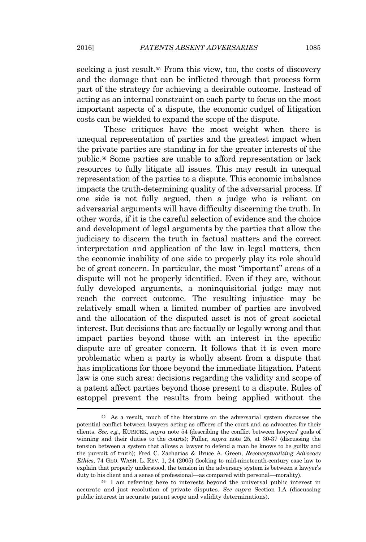seeking a just result.<sup>55</sup> From this view, too, the costs of discovery and the damage that can be inflicted through that process form part of the strategy for achieving a desirable outcome. Instead of acting as an internal constraint on each party to focus on the most important aspects of a dispute, the economic cudgel of litigation costs can be wielded to expand the scope of the dispute.

These critiques have the most weight when there is unequal representation of parties and the greatest impact when the private parties are standing in for the greater interests of the public.<sup>56</sup> Some parties are unable to afford representation or lack resources to fully litigate all issues. This may result in unequal representation of the parties to a dispute. This economic imbalance impacts the truth-determining quality of the adversarial process. If one side is not fully argued, then a judge who is reliant on adversarial arguments will have difficulty discerning the truth. In other words, if it is the careful selection of evidence and the choice and development of legal arguments by the parties that allow the judiciary to discern the truth in factual matters and the correct interpretation and application of the law in legal matters, then the economic inability of one side to properly play its role should be of great concern. In particular, the most "important" areas of a dispute will not be properly identified. Even if they are, without fully developed arguments, a noninquisitorial judge may not reach the correct outcome. The resulting injustice may be relatively small when a limited number of parties are involved and the allocation of the disputed asset is not of great societal interest. But decisions that are factually or legally wrong and that impact parties beyond those with an interest in the specific dispute are of greater concern. It follows that it is even more problematic when a party is wholly absent from a dispute that has implications for those beyond the immediate litigation. Patent law is one such area: decisions regarding the validity and scope of a patent affect parties beyond those present to a dispute. Rules of estoppel prevent the results from being applied without the

<sup>55</sup> As a result, much of the literature on the adversarial system discusses the potential conflict between lawyers acting as officers of the court and as advocates for their clients. *See, e.g.*, KUBICEK, *supra* note 54 (describing the conflict between lawyers' goals of winning and their duties to the courts); Fuller, *supra* note 25, at 30-37 (discussing the tension between a system that allows a lawyer to defend a man he knows to be guilty and the pursuit of truth); Fred C. Zacharias & Bruce A. Green, *Reconceptualizing Advocacy Ethics*, 74 GEO. WASH. L. REV. 1, 24 (2005) (looking to mid-nineteenth-century case law to explain that properly understood, the tension in the adversary system is between a lawyer's duty to his client and a sense of professional—as compared with personal—morality).

<sup>56</sup> I am referring here to interests beyond the universal public interest in accurate and just resolution of private disputes. *See supra* Section I.A (discussing public interest in accurate patent scope and validity determinations).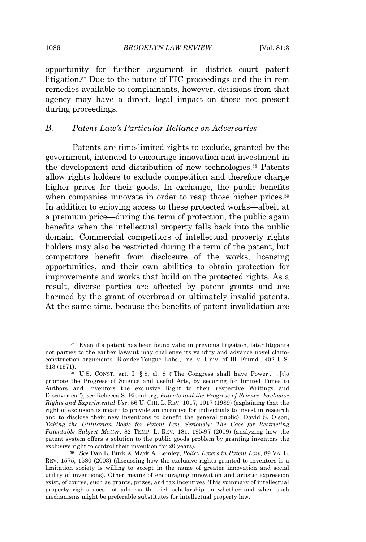opportunity for further argument in district court patent litigation.<sup>57</sup> Due to the nature of ITC proceedings and the in rem remedies available to complainants, however, decisions from that agency may have a direct, legal impact on those not present during proceedings.

## *B. Patent Law's Particular Reliance on Adversaries*

Patents are time-limited rights to exclude, granted by the government, intended to encourage innovation and investment in the development and distribution of new technologies.<sup>58</sup> Patents allow rights holders to exclude competition and therefore charge higher prices for their goods. In exchange, the public benefits when companies innovate in order to reap those higher prices.<sup>59</sup> In addition to enjoying access to these protected works—albeit at a premium price—during the term of protection, the public again benefits when the intellectual property falls back into the public domain. Commercial competitors of intellectual property rights holders may also be restricted during the term of the patent, but competitors benefit from disclosure of the works, licensing opportunities, and their own abilities to obtain protection for improvements and works that build on the protected rights. As a result, diverse parties are affected by patent grants and are harmed by the grant of overbroad or ultimately invalid patents. At the same time, because the benefits of patent invalidation are

<sup>57</sup> Even if a patent has been found valid in previous litigation, later litigants not parties to the earlier lawsuit may challenge its validity and advance novel claimconstruction arguments. Blonder-Tongue Labs., Inc. v. Univ. of Ill. Found., 402 U.S. 313 (1971).

<sup>&</sup>lt;sup>58</sup> U.S. CONST. art. I, § 8, cl. 8 ("The Congress shall have Power . . . [t]o promote the Progress of Science and useful Arts, by securing for limited Times to Authors and Inventors the exclusive Right to their respective Writings and Discoveries."); *see* Rebecca S. Eisenberg, *Patents and the Progress of Science: Exclusive Rights and Experimental Use*, 56 U. CHI. L. REV. 1017, 1017 (1989) (explaining that the right of exclusion is meant to provide an incentive for individuals to invest in research and to disclose their new inventions to benefit the general public); David S. Olson, *Taking the Utilitarian Basis for Patent Law Seriously: The Case for Restricting Patentable Subject Matter*, 82 TEMP. L. REV. 181, 195-97 (2009) (analyzing how the patent system offers a solution to the public goods problem by granting inventors the exclusive right to control their invention for 20 years).

<sup>59</sup> *See* Dan L. Burk & Mark A. Lemley, *Policy Levers in Patent Law*, 89 VA. L. REV. 1575, 1580 (2003) (discussing how the exclusive rights granted to inventors is a limitation society is willing to accept in the name of greater innovation and social utility of inventions). Other means of encouraging innovation and artistic expression exist, of course, such as grants, prizes, and tax incentives. This summary of intellectual property rights does not address the rich scholarship on whether and when such mechanisms might be preferable substitutes for intellectual property law.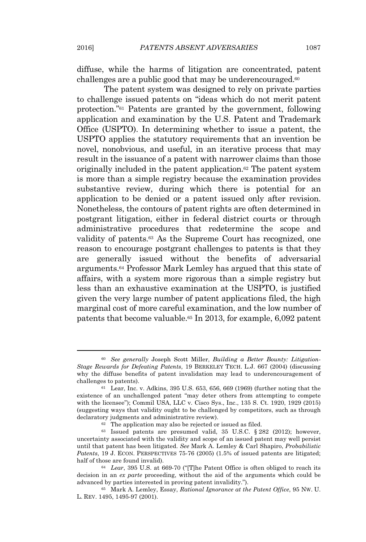diffuse, while the harms of litigation are concentrated, patent challenges are a public good that may be underencouraged.<sup>60</sup>

The patent system was designed to rely on private parties to challenge issued patents on "ideas which do not merit patent protection." <sup>61</sup> Patents are granted by the government, following application and examination by the U.S. Patent and Trademark Office (USPTO). In determining whether to issue a patent, the USPTO applies the statutory requirements that an invention be novel, nonobvious, and useful, in an iterative process that may result in the issuance of a patent with narrower claims than those originally included in the patent application.<sup>62</sup> The patent system is more than a simple registry because the examination provides substantive review, during which there is potential for an application to be denied or a patent issued only after revision. Nonetheless, the contours of patent rights are often determined in postgrant litigation, either in federal district courts or through administrative procedures that redetermine the scope and validity of patents.<sup>63</sup> As the Supreme Court has recognized, one reason to encourage postgrant challenges to patents is that they are generally issued without the benefits of adversarial arguments.<sup>64</sup> Professor Mark Lemley has argued that this state of affairs, with a system more rigorous than a simple registry but less than an exhaustive examination at the USPTO, is justified given the very large number of patent applications filed, the high marginal cost of more careful examination, and the low number of patents that become valuable.<sup>65</sup> In 2013, for example, 6,092 patent

<sup>60</sup> *See generally* Joseph Scott Miller, *Building a Better Bounty: Litigation-Stage Rewards for Defeating Patents*, 19 BERKELEY TECH. L.J. 667 (2004) (discussing why the diffuse benefits of patent invalidation may lead to underencouragement of challenges to patents).

 $61$  Lear, Inc. v. Adkins, 395 U.S. 653, 656, 669 (1969) (further noting that the existence of an unchallenged patent "may deter others from attempting to compete with the licensee"); Commil USA, LLC v. Cisco Sys., Inc., 135 S. Ct. 1920, 1929 (2015) (suggesting ways that validity ought to be challenged by competitors, such as through declaratory judgments and administrative review).

 $62$  The application may also be rejected or issued as filed.

 $63$  Issued patents are presumed valid, 35 U.S.C.  $\S 282$  (2012); however, uncertainty associated with the validity and scope of an issued patent may well persist until that patent has been litigated. *See* Mark A. Lemley & Carl Shapiro, *Probabilistic Patents*, 19 J. ECON. PERSPECTIVES 75-76 (2005) (1.5% of issued patents are litigated; half of those are found invalid).

<sup>64</sup> *Lear*, 395 U.S. at 669-70 ("[T]he Patent Office is often obliged to reach its decision in an *ex parte* proceeding, without the aid of the arguments which could be advanced by parties interested in proving patent invalidity.").

<sup>65</sup> Mark A. Lemley, Essay, *Rational Ignorance at the Patent Office*, 95 NW. U. L. REV. 1495, 1495-97 (2001).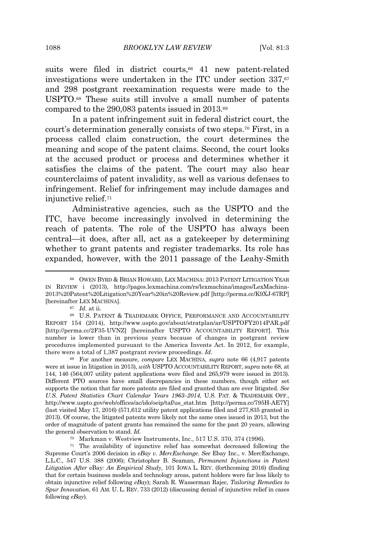suits were filed in district courts,<sup>66</sup> 41 new patent-related investigations were undertaken in the ITC under section  $337$ ,  $67$ and 298 postgrant reexamination requests were made to the USPTO.<sup>68</sup> These suits still involve a small number of patents compared to the 290,083 patents issued in 2013.<sup>69</sup>

In a patent infringement suit in federal district court, the court's determination generally consists of two steps.<sup>70</sup> First, in a process called claim construction, the court determines the meaning and scope of the patent claims. Second, the court looks at the accused product or process and determines whether it satisfies the claims of the patent. The court may also hear counterclaims of patent invalidity, as well as various defenses to infringement. Relief for infringement may include damages and injunctive relief.<sup>71</sup>

Administrative agencies, such as the USPTO and the ITC, have become increasingly involved in determining the reach of patents. The role of the USPTO has always been central—it does, after all, act as a gatekeeper by determining whether to grant patents and register trademarks. Its role has expanded, however, with the 2011 passage of the Leahy-Smith

<sup>69</sup> For another measure, *compare* LEX MACHINA, *supra* note 66 (4,917 patents were at issue in litigation in 2013), *with* USPTO ACCOUNTABILITY REPORT, *supra* note 68, at 144, 146 (564,007 utility patent applications were filed and 265,979 were issued in 2013). Different PTO sources have small discrepancies in these numbers, though either set supports the notion that far more patents are filed and granted than are ever litigated. *See U.S. Patent Statistics Chart Calendar Years 1963–2014*, U.S. PAT. & TRADEMARK OFF., http://www.uspto.gov/web/offices/ac/ido/oeip/taf/us\_stat.htm [http://perma.cc/795H-AE7Y] (last visited May 17, 2016) (571,612 utility patent applications filed and 277,835 granted in 2013). Of course, the litigated patents were likely not the same ones issued in 2013, but the order of magnitude of patent grants has remained the same for the past 20 years, allowing the general observation to stand. *Id.*

<sup>66</sup> OWEN BYRD & BRIAN HOWARD, LEX MACHINA: 2013 PATENT LITIGATION YEAR IN REVIEW i (2013), http://pages.lexmachina.com/rs/lexmachina/images/LexMachina-2013%20Patent%20Litigation%20Year%20in%20Review.pdf [http://perma.cc/K9XJ-67RP] [hereinafter LEX MACHINA].

<sup>67</sup> *Id.* at ii.

<sup>68</sup> U.S. PATENT & TRADEMARK OFFICE, PERFORMANCE AND ACCOUNTABILITY REPORT 154 (2014), http://www.uspto.gov/about/stratplan/ar/USPTOFY2014PAR.pdf [http://perma.cc/2F35-UVNZ] [hereinafter USPTO ACCOUNTABILITY REPORT]. This number is lower than in previous years because of changes in postgrant review procedures implemented pursuant to the America Invents Act. In 2012, for example, there were a total of 1,387 postgrant review proceedings. *Id.*

<sup>70</sup> Markman v. Westview Instruments, Inc., 517 U.S. 370, 374 (1996).

<sup>71</sup> The availability of injunctive relief has somewhat decreased following the Supreme Court's 2006 decision in *eBay v. MercExchange*. *See* Ebay Inc., v. MercExchange, L.L.C., 547 U.S. 388 (2006); Christopher B. Seaman, *Permanent Injunctions in Patent Litigation After* eBay*: An Empirical Study*, 101 IOWA L. REV. (forthcoming 2016) (finding that for certain business models and technology areas, patent holders were far less likely to obtain injunctive relief following *eBay*); Sarah R. Wasserman Rajec, *Tailoring Remedies to Spur Innovation*, 61 AM. U. L. REV. 733 (2012) (discussing denial of injunctive relief in cases following *eBay*).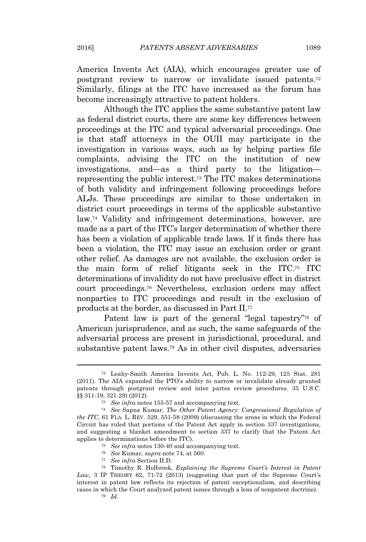America Invents Act (AIA), which encourages greater use of postgrant review to narrow or invalidate issued patents.<sup>72</sup> Similarly, filings at the ITC have increased as the forum has become increasingly attractive to patent holders.

Although the ITC applies the same substantive patent law as federal district courts, there are some key differences between proceedings at the ITC and typical adversarial proceedings. One is that staff attorneys in the OUII may participate in the investigation in various ways, such as by helping parties file complaints, advising the ITC on the institution of new investigations, and—as a third party to the litigation representing the public interest.<sup>73</sup> The ITC makes determinations of both validity and infringement following proceedings before ALJs. These proceedings are similar to those undertaken in district court proceedings in terms of the applicable substantive law.<sup>74</sup> Validity and infringement determinations, however, are made as a part of the ITC's larger determination of whether there has been a violation of applicable trade laws. If it finds there has been a violation, the ITC may issue an exclusion order or grant other relief. As damages are not available, the exclusion order is the main form of relief litigants seek in the ITC.<sup>75</sup> ITC determinations of invalidity do not have preclusive effect in district court proceedings.<sup>76</sup> Nevertheless, exclusion orders may affect nonparties to ITC proceedings and result in the exclusion of products at the border, as discussed in Part II.<sup>77</sup>

Patent law is part of the general "legal tapestry"<sup>78</sup> of American jurisprudence, and as such, the same safeguards of the adversarial process are present in jurisdictional, procedural, and substantive patent laws.<sup>79</sup> As in other civil disputes, adversaries

<sup>72</sup> Leahy-Smith America Invents Act, Pub. L. No. 112-29, 125 Stat. 281 (2011). The AIA expanded the PTO's ability to narrow or invalidate already granted patents through postgrant review and inter partes review procedures. 35 U.S.C. §§ 311-19, 321-29) (2012).

<sup>73</sup> *See infra* notes 155-57 and accompanying text.

<sup>74</sup> *See* Sapna Kumar, *The Other Patent Agency: Congressional Regulation of the ITC*, 61 FLA. L. REV. 529, 551-58 (2009) (discussing the areas in which the Federal Circuit has ruled that portions of the Patent Act apply in section 337 investigations, and suggesting a blanket amendment to section 337 to clarify that the Patent Act applies to determinations before the ITC).

<sup>75</sup> *See infra* notes 130-40 and accompanying text.

<sup>76</sup> *See* Kumar, *supra* note 74, at 560.

<sup>77</sup> *See infra* Section II.D.

<sup>78</sup> Timothy R. Holbrook, *Explaining the Supreme Court's Interest in Patent* Law, 3 IP THEORY 62, 71-72 (2013) (suggesting that part of the Supreme Court's interest in patent law reflects its rejection of patent exceptionalism, and describing cases in which the Court analyzed patent issues through a lens of nonpatent doctrine).

<sup>79</sup> *Id.*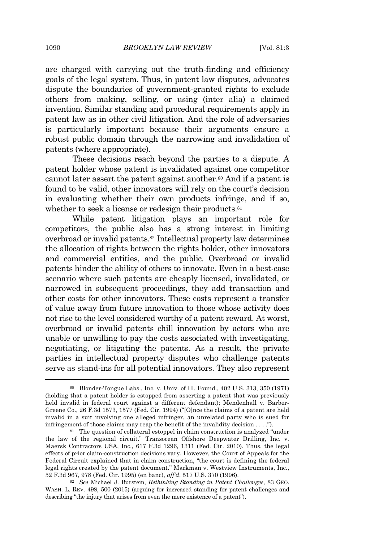are charged with carrying out the truth-finding and efficiency goals of the legal system. Thus, in patent law disputes, advocates dispute the boundaries of government-granted rights to exclude others from making, selling, or using (inter alia) a claimed invention. Similar standing and procedural requirements apply in patent law as in other civil litigation. And the role of adversaries is particularly important because their arguments ensure a robust public domain through the narrowing and invalidation of patents (where appropriate).

These decisions reach beyond the parties to a dispute. A patent holder whose patent is invalidated against one competitor cannot later assert the patent against another.<sup>80</sup> And if a patent is found to be valid, other innovators will rely on the court's decision in evaluating whether their own products infringe, and if so, whether to seek a license or redesign their products.<sup>81</sup>

While patent litigation plays an important role for competitors, the public also has a strong interest in limiting overbroad or invalid patents.<sup>82</sup> Intellectual property law determines the allocation of rights between the rights holder, other innovators and commercial entities, and the public. Overbroad or invalid patents hinder the ability of others to innovate. Even in a best-case scenario where such patents are cheaply licensed, invalidated, or narrowed in subsequent proceedings, they add transaction and other costs for other innovators. These costs represent a transfer of value away from future innovation to those whose activity does not rise to the level considered worthy of a patent reward. At worst, overbroad or invalid patents chill innovation by actors who are unable or unwilling to pay the costs associated with investigating, negotiating, or litigating the patents. As a result, the private parties in intellectual property disputes who challenge patents serve as stand-ins for all potential innovators. They also represent

<sup>80</sup> Blonder-Tongue Labs., Inc. v. Univ. of Ill. Found., 402 U.S. 313, 350 (1971) (holding that a patent holder is estopped from asserting a patent that was previously held invalid in federal court against a different defendant); Mendenhall v. Barber-Greene Co., 26 F.3d 1573, 1577 (Fed. Cir. 1994) ("[O]nce the claims of a patent are held invalid in a suit involving one alleged infringer, an unrelated party who is sued for infringement of those claims may reap the benefit of the invalidity decision . . . .").

<sup>81</sup> The question of collateral estoppel in claim construction is analyzed "under the law of the regional circuit." Transocean Offshore Deepwater Drilling, Inc. v. Maersk Contractors USA, Inc., 617 F.3d 1296, 1311 (Fed. Cir. 2010). Thus, the legal effects of prior claim-construction decisions vary. However, the Court of Appeals for the Federal Circuit explained that in claim construction, "the court is defining the federal legal rights created by the patent document." Markman v. Westview Instruments, Inc., 52 F.3d 967, 978 (Fed. Cir. 1995) (en banc), *aff'd*, 517 U.S. 370 (1996).

<sup>82</sup> *See* Michael J. Burstein, *Rethinking Standing in Patent Challenges*, 83 GEO. WASH. L. REV. 498, 500 (2015) (arguing for increased standing for patent challenges and describing "the injury that arises from even the mere existence of a patent").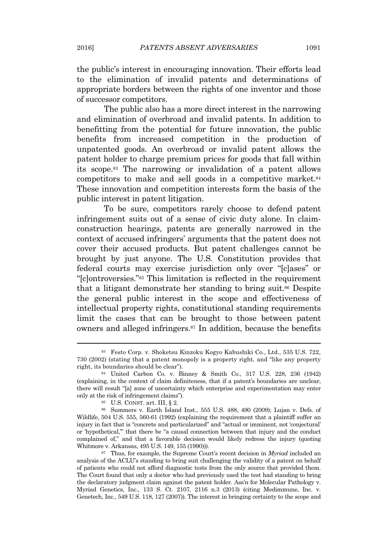the public's interest in encouraging innovation. Their efforts lead to the elimination of invalid patents and determinations of appropriate borders between the rights of one inventor and those of successor competitors.

The public also has a more direct interest in the narrowing and elimination of overbroad and invalid patents. In addition to benefitting from the potential for future innovation, the public benefits from increased competition in the production of unpatented goods. An overbroad or invalid patent allows the patent holder to charge premium prices for goods that fall within its scope.<sup>83</sup> The narrowing or invalidation of a patent allows competitors to make and sell goods in a competitive market.<sup>84</sup> These innovation and competition interests form the basis of the public interest in patent litigation.

To be sure, competitors rarely choose to defend patent infringement suits out of a sense of civic duty alone. In claimconstruction hearings, patents are generally narrowed in the context of accused infringers' arguments that the patent does not cover their accused products. But patent challenges cannot be brought by just anyone. The U.S. Constitution provides that federal courts may exercise jurisdiction only over "[c]ases" or "[c]ontroversies." <sup>85</sup> This limitation is reflected in the requirement that a litigant demonstrate her standing to bring suit.<sup>86</sup> Despite the general public interest in the scope and effectiveness of intellectual property rights, constitutional standing requirements limit the cases that can be brought to those between patent owners and alleged infringers.<sup>87</sup> In addition, because the benefits

<sup>83</sup> Festo Corp. v. Shoketsu Kinzoku Kogyo Kabushiki Co., Ltd., 535 U.S. 722, 730 (2002) (stating that a patent monopoly is a property right, and "like any property right, its boundaries should be clear").

<sup>84</sup> United Carbon Co. v. Binney & Smith Co., 317 U.S. 228, 236 (1942) (explaining, in the context of claim definiteness, that if a patent's boundaries are unclear, there will result "[a] zone of uncertainty which enterprise and experimentation may enter only at the risk of infringement claims").

<sup>85</sup> U.S. CONST. art. III, § 2.

<sup>86</sup> Summers v. Earth Island Inst., 555 U.S. 488, 490 (2009); Lujan v. Defs. of Wildlife, 504 U.S. 555, 560-61 (1992) (explaining the requirement that a plaintiff suffer an injury in fact that is "concrete and particularized" and "actual or imminent, not 'conjectural' or 'hypothetical,'" that there be "a causal connection between that injury and the conduct complained of," and that a favorable decision would likely redress the injury (quoting Whitmore v. Arkansas, 495 U.S. 149, 155 (1990))).

<sup>87</sup> Thus, for example, the Supreme Court's recent decision in *Myriad* included an analysis of the ACLU's standing to bring suit challenging the validity of a patent on behalf of patients who could not afford diagnostic tests from the only source that provided them. The Court found that only a doctor who had previously used the test had standing to bring the declaratory judgment claim against the patent holder. Ass'n for Molecular Pathology v. Myriad Genetics, Inc., 133 S. Ct. 2107, 2116 n.3 (2013) (citing Medimmune, Inc. v. Genetech, Inc., 549 U.S. 118, 127 (2007)). The interest in bringing certainty to the scope and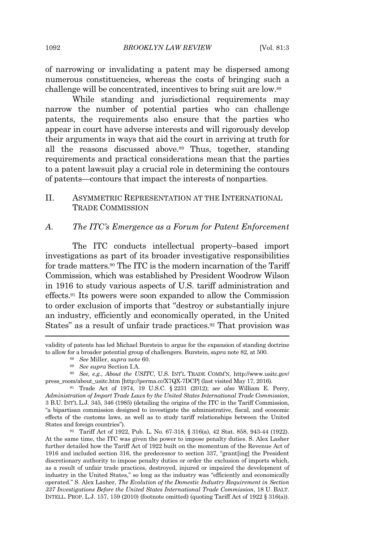of narrowing or invalidating a patent may be dispersed among numerous constituencies, whereas the costs of bringing such a challenge will be concentrated, incentives to bring suit are low.<sup>88</sup>

While standing and jurisdictional requirements may narrow the number of potential parties who can challenge patents, the requirements also ensure that the parties who appear in court have adverse interests and will rigorously develop their arguments in ways that aid the court in arriving at truth for all the reasons discussed above.<sup>89</sup> Thus, together, standing requirements and practical considerations mean that the parties to a patent lawsuit play a crucial role in determining the contours of patents—contours that impact the interests of nonparties.

# II. ASYMMETRIC REPRESENTATION AT THE INTERNATIONAL TRADE COMMISSION

#### *A. The ITC's Emergence as a Forum for Patent Enforcement*

The ITC conducts intellectual property–based import investigations as part of its broader investigative responsibilities for trade matters.<sup>90</sup> The ITC is the modern incarnation of the Tariff Commission, which was established by President Woodrow Wilson in 1916 to study various aspects of U.S. tariff administration and effects.<sup>91</sup> Its powers were soon expanded to allow the Commission to order exclusion of imports that "destroy or substantially injure an industry, efficiently and economically operated, in the United States" as a result of unfair trade practices.<sup>92</sup> That provision was

validity of patents has led Michael Burstein to argue for the expansion of standing doctrine to allow for a broader potential group of challengers. Burstein, *supra* note 82, at 500.

- <sup>88</sup> *See* Miller, *supra* note 60.
- <sup>89</sup> *See supra* Section I.A.

<sup>90</sup> *See, e.g.*, *About the USITC*, U.S. INT'<sup>L</sup> TRADE COMM'N, http://www.usitc.gov/ press\_room/about\_usitc.htm [http://perma.cc/X7QX-7DCP] (last visited May 17, 2016).

<sup>91</sup> Trade Act of 1974, 19 U.S.C. § 2231 (2012); *see also* William E. Perry, *Administration of Import Trade Laws by the United States International Trade Commission*, 3 B.U. INT'<sup>L</sup> L.J. 345, 346 (1985) (detailing the origins of the ITC in the Tariff Commission, "a bipartisan commission designed to investigate the administrative, fiscal, and economic effects of the customs laws, as well as to study tariff relationships between the United States and foreign countries").

<sup>92</sup> Tariff Act of 1922, Pub. L. No. 67-318, § 316(a), 42 Stat. 858, 943-44 (1922). At the same time, the ITC was given the power to impose penalty duties. S. Alex Lasher further detailed how the Tariff Act of 1922 built on the momentum of the Revenue Act of 1916 and included section 316, the predecessor to section 337, "grant[ing] the President discretionary authority to impose penalty duties or order the exclusion of imports which, as a result of unfair trade practices, destroyed, injured or impaired the development of industry in the United States," so long as the industry was "efficiently and economically operated." S. Alex Lasher, *The Evolution of the Domestic Industry Requirement in Section 337 Investigations Before the United States International Trade Commission*, 18 U. BALT. INTELL. PROP. L.J. 157, 159 (2010) (footnote omitted) (quoting Tariff Act of 1922 § 316(a)).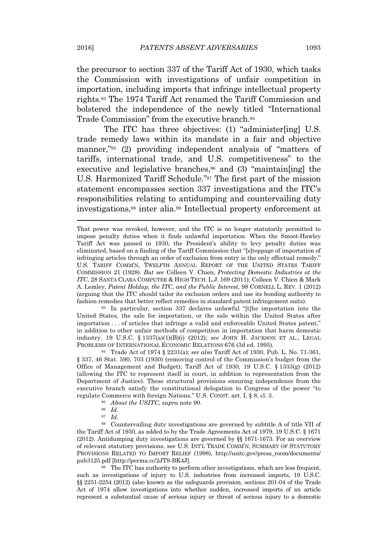the precursor to section 337 of the Tariff Act of 1930, which tasks the Commission with investigations of unfair competition in importation, including imports that infringe intellectual property rights.<sup>93</sup> The 1974 Tariff Act renamed the Tariff Commission and bolstered the independence of the newly titled "International Trade Commission" from the executive branch.<sup>94</sup>

The ITC has three objectives: (1) "administer[ing] U.S. trade remedy laws within its mandate in a fair and objective manner,"<sup>95</sup> (2) providing independent analysis of "matters of tariffs, international trade, and U.S. competitiveness" to the executive and legislative branches, $96$  and (3) "maintain[ing] the U.S. Harmonized Tariff Schedule." <sup>97</sup> The first part of the mission statement encompasses section 337 investigations and the ITC's responsibilities relating to antidumping and countervailing duty investigations,<sup>98</sup> inter alia.<sup>99</sup> Intellectual property enforcement at

<sup>93</sup> In particular, section 337 declares unlawful "[t]he importation into the United States, the sale for importation, or the sale within the United States after importation . . . of articles that infringe a valid and enforceable United States patent," in addition to other unfair methods of competition in importation that harm domestic industry. 19 U.S.C. § 1337(a)(1)(B)(i) (2012); *see* JOHN H. JACKSON ET AL., LEGAL PROBLEMS OF INTERNATIONAL ECONOMIC RELATIONS 676 (3d ed. 1995).

<sup>94</sup> Trade Act of 1974 § 2231(a); *see also* Tariff Act of 1930, Pub. L. No. 71-361, § 337, 46 Stat. 590, 703 (1930) (removing control of the Commission's budget from the Office of Management and Budget); Tariff Act of 1930, 19 U.S.C. § 1333(g) (2012) (allowing the ITC to represent itself in court, in addition to representation from the Department of Justice). These structural provisions ensuring independence from the executive branch satisfy the constitutional delegation to Congress of the power "to regulate Commerce with foreign Nations." U.S. CONST. art. I, § 8, cl. 3.

- <sup>95</sup> *About the USITC*, *supra* note 90.
- <sup>96</sup> *Id.*
- <sup>97</sup> *Id.*

<sup>98</sup> Countervailing duty investigations are governed by subtitle A of title VII of the Tariff Act of 1930, as added to by the Trade Agreements Act of 1979. 19 U.S.C. § 1671 (2012). Antidumping duty investigations are governed by §§ 1671-1673. For an overview of relevant statutory provisions, see U.S. INT'<sup>L</sup> TRADE COMM'N, SUMMARY OF STATUTORY PROVISIONS RELATED TO IMPORT RELIEF (1998), http://usitc.gov/press\_room/documents/ pub3125.pdf [http://perma.cc/2JT9-BK4J].

<sup>99</sup> The ITC has authority to perform other investigations, which are less frequent, such as investigations of injury to U.S. industries from increased imports, 19 U.S.C. §§ 2251-2254 (2012) (also known as the safeguards provision, sections 201-04 of the Trade Act of 1974 allow investigations into whether sudden, increased imports of an article represent a substantial cause of serious injury or threat of serious injury to a domestic

That power was revoked, however, and the ITC is no longer statutorily permitted to impose penalty duties when it finds unlawful importation. When the Smoot-Hawley Tariff Act was passed in 1930, the President's ability to levy penalty duties was eliminated, based on a finding of the Tariff Commission that "[s]toppage of importation of infringing articles through an order of exclusion from entry is the only effectual remedy." U.S. TARIFF COMM'N, TWELFTH ANNUAL REPORT OF THE UNITED STATES TARIFF COMMISSION 21 (1928). *But see* Colleen V. Chien, *Protecting Domestic Industries at the ITC*, 28 SANTA CLARA COMPUTER & HIGH TECH. L.J. 169 (2011); Colleen V. Chien & Mark A. Lemley, *Patent Holdup, the ITC, and the Public Interest*, 98 CORNELL L. REV. 1 (2012) (arguing that the ITC should tailor its exclusion orders and use its bonding authority to fashion remedies that better reflect remedies in standard patent infringement suits).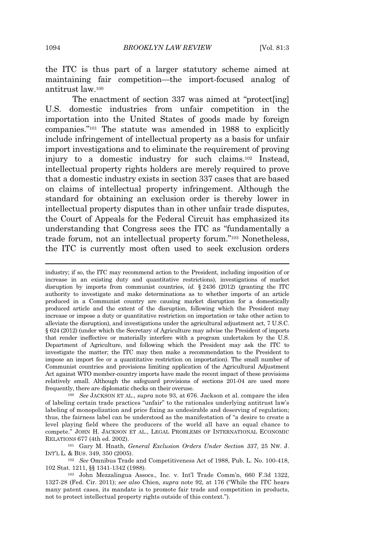the ITC is thus part of a larger statutory scheme aimed at maintaining fair competition—the import-focused analog of antitrust law.<sup>100</sup>

The enactment of section 337 was aimed at "protect[ing] U.S. domestic industries from unfair competition in the importation into the United States of goods made by foreign companies." <sup>101</sup> The statute was amended in 1988 to explicitly include infringement of intellectual property as a basis for unfair import investigations and to eliminate the requirement of proving injury to a domestic industry for such claims.<sup>102</sup> Instead, intellectual property rights holders are merely required to prove that a domestic industry exists in section 337 cases that are based on claims of intellectual property infringement. Although the standard for obtaining an exclusion order is thereby lower in intellectual property disputes than in other unfair trade disputes, the Court of Appeals for the Federal Circuit has emphasized its understanding that Congress sees the ITC as "fundamentally a trade forum, not an intellectual property forum." <sup>103</sup> Nonetheless, the ITC is currently most often used to seek exclusion orders

<sup>100</sup> *See* JACKSON ET AL., *supra* note 93, at 676. Jackson et al. compare the idea of labeling certain trade practices "unfair" to the rationales underlying antitrust law's labeling of monopolization and price fixing as undesirable and deserving of regulation; thus, the fairness label can be understood as the manifestation of "a desire to create a level playing field where the producers of the world all have an equal chance to compete." JOHN H. JACKSON ET AL., LEGAL PROBLEMS OF INTERNATIONAL ECONOMIC RELATIONS 677 (4th ed. 2002).

<sup>101</sup> Gary M. Hnath, *General Exclusion Orders Under Section 337*, 25 NW. J. INT'<sup>L</sup> L. & BUS. 349, 350 (2005).

<sup>102</sup> *See* Omnibus Trade and Competitiveness Act of 1988, Pub. L. No. 100-418, 102 Stat. 1211, §§ 1341-1342 (1988).

<sup>103</sup> John Mezzalingua Assocs., Inc. v. Int'l Trade Comm'n, 660 F.3d 1322, 1327-28 (Fed. Cir. 2011); *see also* Chien, *supra* note 92, at 176 ("While the ITC hears many patent cases, its mandate is to promote fair trade and competition in products, not to protect intellectual property rights outside of this context.").

industry; if so, the ITC may recommend action to the President, including imposition of or increase in an existing duty and quantitative restrictions), investigations of market disruption by imports from communist countries, *id.* § 2436 (2012) (granting the ITC authority to investigate and make determinations as to whether imports of an article produced in a Communist country are causing market disruption for a domestically produced article and the extent of the disruption, following which the President may increase or impose a duty or quantitative restriction on importation or take other action to alleviate the disruption), and investigations under the agricultural adjustment act, 7 U.S.C. § 624 (2012) (under which the Secretary of Agriculture may advise the President of imports that render ineffective or materially interfere with a program undertaken by the U.S. Department of Agriculture, and following which the President may ask the ITC to investigate the matter; the ITC may then make a recommendation to the President to impose an import fee or a quantitative restriction on importation). The small number of Communist countries and provisions limiting application of the Agricultural Adjustment Act against WTO member-country imports have made the recent impact of these provisions relatively small. Although the safeguard provisions of sections 201-04 are used more frequently, there are diplomatic checks on their overuse.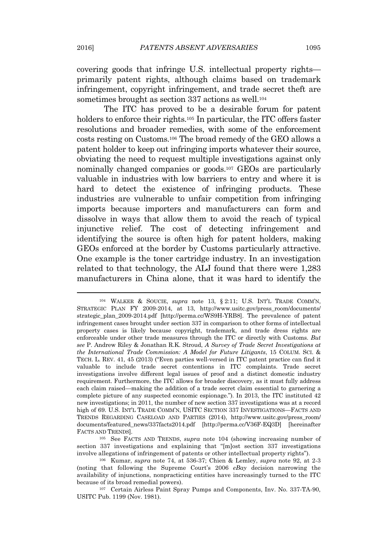covering goods that infringe U.S. intellectual property rights primarily patent rights, although claims based on trademark infringement, copyright infringement, and trade secret theft are sometimes brought as section 337 actions as well.<sup>104</sup>

The ITC has proved to be a desirable forum for patent holders to enforce their rights.<sup>105</sup> In particular, the ITC offers faster resolutions and broader remedies, with some of the enforcement costs resting on Customs.<sup>106</sup> The broad remedy of the GEO allows a patent holder to keep out infringing imports whatever their source, obviating the need to request multiple investigations against only nominally changed companies or goods.<sup>107</sup> GEOs are particularly valuable in industries with low barriers to entry and where it is hard to detect the existence of infringing products. These industries are vulnerable to unfair competition from infringing imports because importers and manufacturers can form and dissolve in ways that allow them to avoid the reach of typical injunctive relief. The cost of detecting infringement and identifying the source is often high for patent holders, making GEOs enforced at the border by Customs particularly attractive. One example is the toner cartridge industry. In an investigation related to that technology, the ALJ found that there were 1,283 manufacturers in China alone, that it was hard to identify the

<sup>105</sup> See FACTS AND TRENDS, *supra* note 104 (showing increasing number of section 337 investigations and explaining that "[m]ost section 337 investigations involve allegations of infringement of patents or other intellectual property rights").

<sup>104</sup> WALKER & SOUCIE, *supra* note 13, § 2:11; U.S. INT'<sup>L</sup> TRADE COMM'N, STRATEGIC PLAN FY 2009-2014, at 13, http://www.usitc.gov/press\_room/documents/ strategic\_plan\_2009-2014.pdf [http://perma.cc/WS9H-YRB8]. The prevalence of patent infringement cases brought under section 337 in comparison to other forms of intellectual property cases is likely because copyright, trademark, and trade dress rights are enforceable under other trade measures through the ITC or directly with Customs. *But see* P. Andrew Riley & Jonathan R.K. Stroud, *A Survey of Trade Secret Investigations at the International Trade Commission: A Model for Future Litigants*, 15 COLUM. SCI. & TECH. L. REV. 41, 45 (2013) ("Even parties well-versed in ITC patent practice can find it valuable to include trade secret contentions in ITC complaints. Trade secret investigations involve different legal issues of proof and a distinct domestic industry requirement. Furthermore, the ITC allows for broader discovery, as it must fully address each claim raised—making the addition of a trade secret claim essential to garnering a complete picture of any suspected economic espionage."). In 2013, the ITC instituted 42 new investigations; in 2011, the number of new section 337 investigations was at a record high of 69. U.S. INT'<sup>L</sup> TRADE COMM'N, USITC SECTION 337 INVESTIGATIONS—FACTS AND TRENDS REGARDING CASELOAD AND PARTIES (2014), http://www.usitc.gov/press\_room/ documents/featured\_news/337facts2014.pdf [http://perma.cc/V36F-EQ3D] [hereinafter FACTS AND TRENDS].

<sup>106</sup> Kumar, *supra* note 74, at 536-37; Chien & Lemley, *supra* note 92, at 2-3 (noting that following the Supreme Court's 2006 *eBay* decision narrowing the availability of injunctions, nonpracticing entities have increasingly turned to the ITC because of its broad remedial powers).

<sup>107</sup> Certain Airless Paint Spray Pumps and Components, Inv. No. 337-TA-90, USITC Pub. 1199 (Nov. 1981).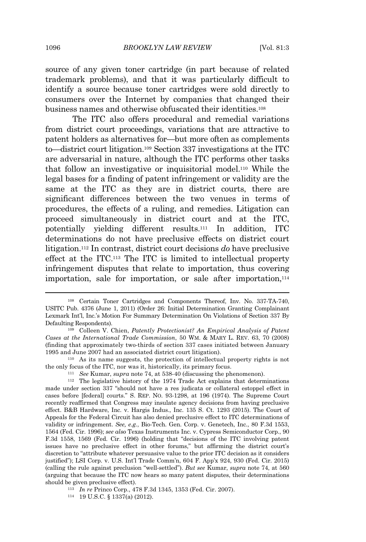source of any given toner cartridge (in part because of related trademark problems), and that it was particularly difficult to identify a source because toner cartridges were sold directly to consumers over the Internet by companies that changed their business names and otherwise obfuscated their identities.<sup>108</sup>

The ITC also offers procedural and remedial variations from district court proceedings, variations that are attractive to patent holders as alternatives for—but more often as complements to—district court litigation.<sup>109</sup> Section 337 investigations at the ITC are adversarial in nature, although the ITC performs other tasks that follow an investigative or inquisitorial model.<sup>110</sup> While the legal bases for a finding of patent infringement or validity are the same at the ITC as they are in district courts, there are significant differences between the two venues in terms of procedures, the effects of a ruling, and remedies. Litigation can proceed simultaneously in district court and at the ITC, potentially yielding different results.<sup>111</sup> In addition, ITC determinations do not have preclusive effects on district court litigation.<sup>112</sup> In contrast, district court decisions *do* have preclusive effect at the ITC.<sup>113</sup> The ITC is limited to intellectual property infringement disputes that relate to importation, thus covering importation, sale for importation, or sale after importation,<sup>114</sup>

<sup>110</sup> As its name suggests, the protection of intellectual property rights is not the only focus of the ITC, nor was it, historically, its primary focus.

<sup>111</sup> *See* Kumar, *supra* note 74, at 538-40 (discussing the phenomenon).

<sup>114</sup> 19 U.S.C. § 1337(a) (2012).

<sup>108</sup> Certain Toner Cartridges and Components Thereof, Inv. No. 337-TA-740, USITC Pub. 4376 (June 1, 2011) (Order 26: Initial Determination Granting Complainant Lexmark Int'l, Inc.'s Motion For Summary Determination On Violations of Section 337 By Defaulting Respondents).

<sup>109</sup> Colleen V. Chien, *Patently Protectionist? An Empirical Analysis of Patent Cases at the International Trade Commission*, 50 WM. & MARY L. REV. 63, 70 (2008) (finding that approximately two-thirds of section 337 cases initiated between January 1995 and June 2007 had an associated district court litigation).

<sup>112</sup> The legislative history of the 1974 Trade Act explains that determinations made under section 337 "should not have a res judicata or collateral estoppel effect in cases before [federal] courts." S. REP. NO. 93-1298, at 196 (1974). The Supreme Court recently reaffirmed that Congress may insulate agency decisions from having preclusive effect. B&B Hardware, Inc. v. Hargis Indus., Inc. 135 S. Ct. 1293 (2015). The Court of Appeals for the Federal Circuit has also denied preclusive effect to ITC determinations of validity or infringement. *See, e.g.*, Bio-Tech. Gen. Corp. v. Genetech, Inc., 80 F.3d 1553, 1564 (Fed. Cir. 1996); *see also* Texas Instruments Inc. v. Cypress Semiconductor Corp., 90 F.3d 1558, 1569 (Fed. Cir. 1996) (holding that "decisions of the ITC involving patent issues have no preclusive effect in other forums," but affirming the district court's discretion to "attribute whatever persuasive value to the prior ITC decision as it considers justified"); LSI Corp. v. U.S. Int'l Trade Comm'n, 604 F. App'x 924, 930 (Fed. Cir. 2015) (calling the rule against preclusion "well-settled"). *But see* Kumar, *supra* note 74, at 560 (arguing that because the ITC now hears so many patent disputes, their determinations should be given preclusive effect).

<sup>113</sup> *In re* Princo Corp., 478 F.3d 1345, 1353 (Fed. Cir. 2007).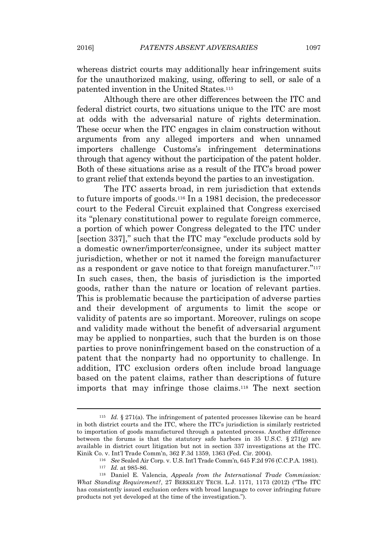whereas district courts may additionally hear infringement suits for the unauthorized making, using, offering to sell, or sale of a patented invention in the United States.<sup>115</sup>

Although there are other differences between the ITC and federal district courts, two situations unique to the ITC are most at odds with the adversarial nature of rights determination. These occur when the ITC engages in claim construction without arguments from any alleged importers and when unnamed importers challenge Customs's infringement determinations through that agency without the participation of the patent holder. Both of these situations arise as a result of the ITC's broad power to grant relief that extends beyond the parties to an investigation.

The ITC asserts broad, in rem jurisdiction that extends to future imports of goods.<sup>116</sup> In a 1981 decision, the predecessor court to the Federal Circuit explained that Congress exercised its "plenary constitutional power to regulate foreign commerce, a portion of which power Congress delegated to the ITC under [section 337]," such that the ITC may "exclude products sold by a domestic owner/importer/consignee, under its subject matter jurisdiction, whether or not it named the foreign manufacturer as a respondent or gave notice to that foreign manufacturer."<sup>117</sup> In such cases, then, the basis of jurisdiction is the imported goods, rather than the nature or location of relevant parties. This is problematic because the participation of adverse parties and their development of arguments to limit the scope or validity of patents are so important. Moreover, rulings on scope and validity made without the benefit of adversarial argument may be applied to nonparties, such that the burden is on those parties to prove noninfringement based on the construction of a patent that the nonparty had no opportunity to challenge. In addition, ITC exclusion orders often include broad language based on the patent claims, rather than descriptions of future imports that may infringe those claims.<sup>118</sup> The next section

<sup>115</sup> *Id.* § 271(a). The infringement of patented processes likewise can be heard in both district courts and the ITC, where the ITC's jurisdiction is similarly restricted to importation of goods manufactured through a patented process. Another difference between the forums is that the statutory safe harbors in  $35 \text{ U.S.C.}$  §  $271(g)$  are available in district court litigation but not in section 337 investigations at the ITC. Kinik Co. v. Int'l Trade Comm'n, 362 F.3d 1359, 1363 (Fed. Cir. 2004).

<sup>116</sup> *See* Sealed Air Corp. v. U.S. Int'l Trade Comm'n, 645 F.2d 976 (C.C.P.A. 1981).

<sup>117</sup> *Id.* at 985-86.

<sup>118</sup> Daniel E. Valencia, *Appeals from the International Trade Commission: What Standing Requirement?*, 27 BERKELEY TECH. L.J. 1171, 1173 (2012) ("The ITC has consistently issued exclusion orders with broad language to cover infringing future products not yet developed at the time of the investigation.").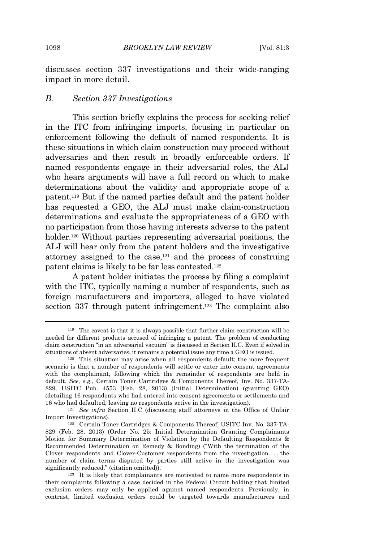discusses section 337 investigations and their wide-ranging impact in more detail.

#### *B. Section 337 Investigations*

This section briefly explains the process for seeking relief in the ITC from infringing imports, focusing in particular on enforcement following the default of named respondents. It is these situations in which claim construction may proceed without adversaries and then result in broadly enforceable orders. If named respondents engage in their adversarial roles, the ALJ who hears arguments will have a full record on which to make determinations about the validity and appropriate scope of a patent.<sup>119</sup> But if the named parties default and the patent holder has requested a GEO, the ALJ must make claim-construction determinations and evaluate the appropriateness of a GEO with no participation from those having interests adverse to the patent holder.<sup>120</sup> Without parties representing adversarial positions, the ALJ will hear only from the patent holders and the investigative attorney assigned to the case,<sup>121</sup> and the process of construing patent claims is likely to be far less contested.<sup>122</sup>

A patent holder initiates the process by filing a complaint with the ITC, typically naming a number of respondents, such as foreign manufacturers and importers, alleged to have violated section 337 through patent infringement.<sup>123</sup> The complaint also

<sup>119</sup> The caveat is that it is always possible that further claim construction will be needed for different products accused of infringing a patent. The problem of conducting claim construction "in an adversarial vacuum" is discussed in Section II.C. Even if solved in situations of absent adversaries, it remains a potential issue any time a GEO is issued.

<sup>120</sup> This situation may arise when all respondents default; the more frequent scenario is that a number of respondents will settle or enter into consent agreements with the complainant, following which the remainder of respondents are held in default. *See, e.g.*, Certain Toner Cartridges & Components Thereof, Inv. No. 337-TA-829, USITC Pub. 4553 (Feb. 28, 2013) (Initial Determination) (granting GEO) (detailing 16 respondents who had entered into consent agreements or settlements and 16 who had defaulted, leaving no respondents active in the investigation).

<sup>121</sup> *See infra* Section II.C (discussing staff attorneys in the Office of Unfair Import Investigations).

<sup>122</sup> Certain Toner Cartridges & Components Thereof, USITC Inv. No. 337-TA-829 (Feb. 28, 2013) (Order No. 25: Initial Determination Granting Complainants Motion for Summary Determination of Violation by the Defaulting Respondents & Recommended Determination on Remedy & Bonding) ("With the termination of the Clover respondents and Clover-Customer respondents from the investigation . . . the number of claim terms disputed by parties still active in the investigation was significantly reduced." (citation omitted)).

 $123$  It is likely that complainants are motivated to name more respondents in their complaints following a case decided in the Federal Circuit holding that limited exclusion orders may only be applied against named respondents. Previously, in contrast, limited exclusion orders could be targeted towards manufacturers and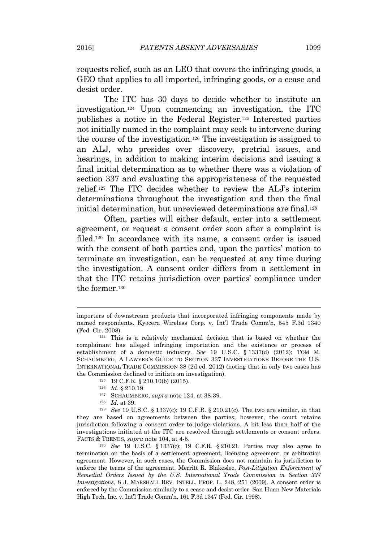requests relief, such as an LEO that covers the infringing goods, a GEO that applies to all imported, infringing goods, or a cease and desist order.

The ITC has 30 days to decide whether to institute an investigation.<sup>124</sup> Upon commencing an investigation, the ITC publishes a notice in the Federal Register.<sup>125</sup> Interested parties not initially named in the complaint may seek to intervene during the course of the investigation.<sup>126</sup> The investigation is assigned to an ALJ, who presides over discovery, pretrial issues, and hearings, in addition to making interim decisions and issuing a final initial determination as to whether there was a violation of section 337 and evaluating the appropriateness of the requested relief.<sup>127</sup> The ITC decides whether to review the ALJ's interim determinations throughout the investigation and then the final initial determination, but unreviewed determinations are final.<sup>128</sup>

Often, parties will either default, enter into a settlement agreement, or request a consent order soon after a complaint is filed.<sup>129</sup> In accordance with its name, a consent order is issued with the consent of both parties and, upon the parties' motion to terminate an investigation, can be requested at any time during the investigation. A consent order differs from a settlement in that the ITC retains jurisdiction over parties' compliance under the former.<sup>130</sup>

importers of downstream products that incorporated infringing components made by named respondents. Kyocera Wireless Corp. v. Int'l Trade Comm'n, 545 F.3d 1340 (Fed. Cir. 2008).

<sup>124</sup> This is a relatively mechanical decision that is based on whether the complainant has alleged infringing importation and the existence or process of establishment of a domestic industry. *See* 19 U.S.C. § 1337(d) (2012); TOM M. SCHAUMBERG, A LAWYER'<sup>S</sup> GUIDE TO SECTION 337 INVESTIGATIONS BEFORE THE U.S. INTERNATIONAL TRADE COMMISSION 38 (2d ed. 2012) (noting that in only two cases has the Commission declined to initiate an investigation).

<sup>125</sup> 19 C.F.R. § 210.10(b) (2015).

<sup>126</sup> *Id.* § 210.19.

<sup>127</sup> SCHAUMBERG, *supra* note 124, at 38-39.

<sup>128</sup> *Id.* at 39.

<sup>129</sup> *See* 19 U.S.C. § 1337(c); 19 C.F.R. § 210.21(c). The two are similar, in that they are based on agreements between the parties; however, the court retains jurisdiction following a consent order to judge violations. A bit less than half of the investigations initiated at the ITC are resolved through settlements or consent orders. FACTS & TRENDS, *supra* note 104, at 4-5.

<sup>130</sup> *See* 19 U.S.C. § 1337(c); 19 C.F.R. § 210.21. Parties may also agree to termination on the basis of a settlement agreement, licensing agreement, or arbitration agreement. However, in such cases, the Commission does not maintain its jurisdiction to enforce the terms of the agreement. Merritt R. Blakeslee, *Post-Litigation Enforcement of Remedial Orders Issued by the U.S. International Trade Commission in Section 337 Investigations*, 8 J. MARSHALL REV. INTELL. PROP. L. 248, 251 (2009). A consent order is enforced by the Commission similarly to a cease and desist order. San Huan New Materials High Tech, Inc. v. Int'l Trade Comm'n, 161 F.3d 1347 (Fed. Cir. 1998).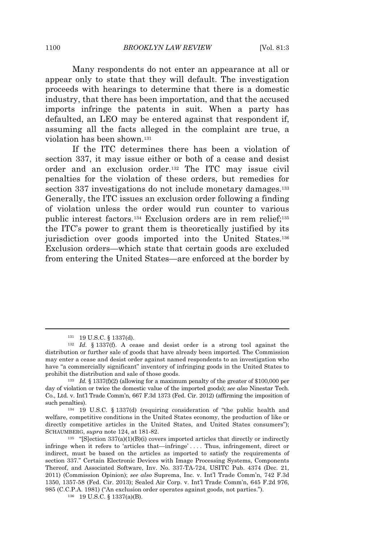Many respondents do not enter an appearance at all or appear only to state that they will default. The investigation proceeds with hearings to determine that there is a domestic industry, that there has been importation, and that the accused imports infringe the patents in suit. When a party has defaulted, an LEO may be entered against that respondent if, assuming all the facts alleged in the complaint are true, a violation has been shown.<sup>131</sup>

If the ITC determines there has been a violation of section 337, it may issue either or both of a cease and desist order and an exclusion order.<sup>132</sup> The ITC may issue civil penalties for the violation of these orders, but remedies for section 337 investigations do not include monetary damages.<sup>133</sup> Generally, the ITC issues an exclusion order following a finding of violation unless the order would run counter to various public interest factors.<sup>134</sup> Exclusion orders are in rem relief:<sup>135</sup> the ITC's power to grant them is theoretically justified by its jurisdiction over goods imported into the United States.<sup>136</sup> Exclusion orders—which state that certain goods are excluded from entering the United States—are enforced at the border by

<sup>131</sup> 19 U.S.C. § 1337(d).

<sup>132</sup> *Id.* § 1337(f). A cease and desist order is a strong tool against the distribution or further sale of goods that have already been imported. The Commission may enter a cease and desist order against named respondents to an investigation who have "a commercially significant" inventory of infringing goods in the United States to prohibit the distribution and sale of those goods.

<sup>133</sup> *Id.* § 1337(f)(2) (allowing for a maximum penalty of the greater of \$100,000 per day of violation or twice the domestic value of the imported goods); *see also* Ninestar Tech. Co., Ltd. v. Int'l Trade Comm'n, 667 F.3d 1373 (Fed. Cir. 2012) (affirming the imposition of such penalties).

<sup>134</sup> 19 U.S.C. § 1337(d) (requiring consideration of "the public health and welfare, competitive conditions in the United States economy, the production of like or directly competitive articles in the United States, and United States consumers"); SCHAUMBERG, *supra* note 124, at 181-82.

 $135$  "[S]ection 337(a)(1)(B)(i) covers imported articles that directly or indirectly infringe when it refers to 'articles that—infringe' . . . . Thus, infringement, direct or indirect, must be based on the articles as imported to satisfy the requirements of section 337." Certain Electronic Devices with Image Processing Systems, Components Thereof, and Associated Software, Inv. No. 337-TA-724, USITC Pub. 4374 (Dec. 21, 2011) (Commission Opinion); *see also* Suprema, Inc. v. Int'l Trade Comm'n, 742 F.3d 1350, 1357-58 (Fed. Cir. 2013); Sealed Air Corp. v. Int'l Trade Comm'n, 645 F.2d 976, 985 (C.C.P.A. 1981) ("An exclusion order operates against goods, not parties.").

<sup>136</sup> 19 U.S.C. § 1337(a)(B).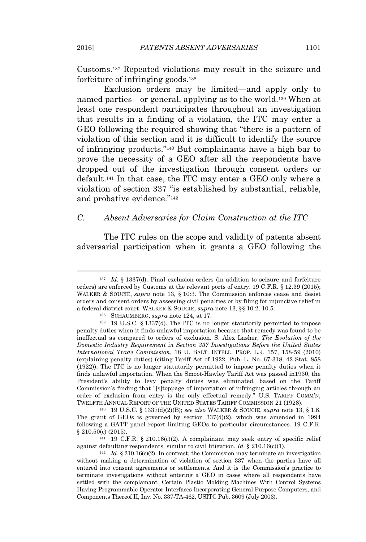Customs.<sup>137</sup> Repeated violations may result in the seizure and forfeiture of infringing goods.<sup>138</sup>

Exclusion orders may be limited—and apply only to named parties—or general, applying as to the world.<sup>139</sup> When at least one respondent participates throughout an investigation that results in a finding of a violation, the ITC may enter a GEO following the required showing that "there is a pattern of violation of this section and it is difficult to identify the source of infringing products." <sup>140</sup> But complainants have a high bar to prove the necessity of a GEO after all the respondents have dropped out of the investigation through consent orders or default.<sup>141</sup> In that case, the ITC may enter a GEO only where a violation of section 337 "is established by substantial, reliable, and probative evidence."<sup>142</sup>

#### *C. Absent Adversaries for Claim Construction at the ITC*

The ITC rules on the scope and validity of patents absent adversarial participation when it grants a GEO following the

<sup>140</sup> 19 U.S.C. § 1337(d)(2)(B); *see also* WALKER & SOUCIE, *supra* note 13, § 1.8. The grant of GEOs is governed by section 337(d)(2), which was amended in 1994 following a GATT panel report limiting GEOs to particular circumstances. 19 C.F.R. § 210.50(c) (2015).

<sup>141</sup> 19 C.F.R. § 210.16(c)(2). A complainant may seek entry of specific relief against defaulting respondents, similar to civil litigation. *Id.* § 210.16(c)(1).

<sup>142</sup> *Id.* § 210.16(c)(2). In contrast, the Commission may terminate an investigation without making a determination of violation of section 337 when the parties have all entered into consent agreements or settlements. And it is the Commission's practice to terminate investigations without entering a GEO in cases where all respondents have settled with the complainant. Certain Plastic Molding Machines With Control Systems Having Programmable Operator Interfaces Incorporating General Purpose Computers, and Components Thereof II, Inv. No. 337-TA-462, USITC Pub. 3609 (July 2003).

<sup>137</sup> *Id.* § 1337(d). Final exclusion orders (in addition to seizure and forfeiture orders) are enforced by Customs at the relevant ports of entry. 19 C.F.R. § 12.39 (2015); WALKER & SOUCIE, *supra* note 13, § 10:3. The Commission enforces cease and desist orders and consent orders by assessing civil penalties or by filing for injunctive relief in a federal district court. WALKER & SOUCIE, *supra* note 13, §§ 10.2, 10.5.

<sup>138</sup> SCHAUMBERG, *supra* note 124, at 17.

<sup>139</sup> 19 U.S.C. § 1337(d). The ITC is no longer statutorily permitted to impose penalty duties when it finds unlawful importation because that remedy was found to be ineffectual as compared to orders of exclusion. S. Alex Lasher, *The Evolution of the Domestic Industry Requirement in Section 337 Investigations Before the United States International Trade Commission*, 18 U. BALT. INTELL. PROP. L.J. 157, 158-59 (2010) (explaining penalty duties) (citing Tariff Act of 1922, Pub. L. No. 67-318, 42 Stat. 858 (1922)). The ITC is no longer statutorily permitted to impose penalty duties when it finds unlawful importation. When the Smoot-Hawley Tariff Act was passed in1930, the President's ability to levy penalty duties was eliminated, based on the Tariff Commission's finding that "[s]toppage of importation of infringing articles through an order of exclusion from entry is the only effectual remedy." U.S. TARIFF COMM'N, TWELFTH ANNUAL REPORT OF THE UNITED STATES TARIFF COMMISSION 21 (1928).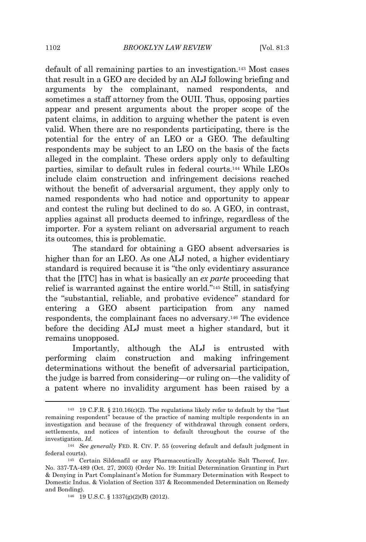default of all remaining parties to an investigation.<sup>143</sup> Most cases that result in a GEO are decided by an ALJ following briefing and arguments by the complainant, named respondents, and sometimes a staff attorney from the OUII. Thus, opposing parties appear and present arguments about the proper scope of the patent claims, in addition to arguing whether the patent is even valid. When there are no respondents participating, there is the potential for the entry of an LEO or a GEO. The defaulting respondents may be subject to an LEO on the basis of the facts alleged in the complaint. These orders apply only to defaulting parties, similar to default rules in federal courts.<sup>144</sup> While LEOs include claim construction and infringement decisions reached without the benefit of adversarial argument, they apply only to named respondents who had notice and opportunity to appear and contest the ruling but declined to do so. A GEO, in contrast, applies against all products deemed to infringe, regardless of the importer. For a system reliant on adversarial argument to reach its outcomes, this is problematic.

The standard for obtaining a GEO absent adversaries is higher than for an LEO. As one ALJ noted, a higher evidentiary standard is required because it is "the only evidentiary assurance that the [ITC] has in what is basically an *ex parte* proceeding that relief is warranted against the entire world." <sup>145</sup> Still, in satisfying the "substantial, reliable, and probative evidence" standard for entering a GEO absent participation from any named respondents, the complainant faces no adversary.<sup>146</sup> The evidence before the deciding ALJ must meet a higher standard, but it remains unopposed.

Importantly, although the ALJ is entrusted with performing claim construction and making infringement determinations without the benefit of adversarial participation, the judge is barred from considering—or ruling on—the validity of a patent where no invalidity argument has been raised by a

<sup>&</sup>lt;sup>143</sup> 19 C.F.R. § 210.16(c)(2). The regulations likely refer to default by the "last" remaining respondent" because of the practice of naming multiple respondents in an investigation and because of the frequency of withdrawal through consent orders, settlements, and notices of intention to default throughout the course of the investigation. *Id.*

<sup>144</sup> *See generally* FED. R. CIV. P. 55 (covering default and default judgment in federal courts).

<sup>145</sup> Certain Sildenafil or any Pharmaceutically Acceptable Salt Thereof, Inv. No. 337-TA-489 (Oct. 27, 2003) (Order No. 19: Initial Determination Granting in Part & Denying in Part Complainant's Motion for Summary Determination with Respect to Domestic Indus. & Violation of Section 337 & Recommended Determination on Remedy and Bonding).

<sup>146</sup> 19 U.S.C. § 1337(g)(2)(B) (2012).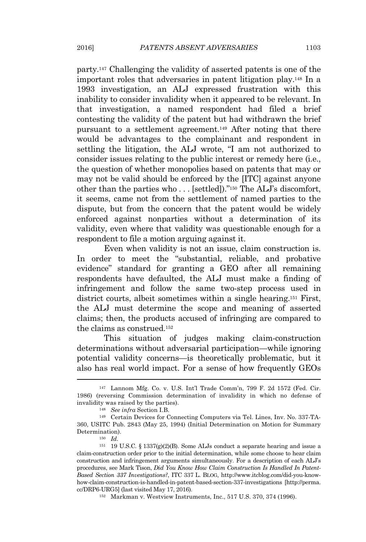party.<sup>147</sup> Challenging the validity of asserted patents is one of the important roles that adversaries in patent litigation play.<sup>148</sup> In a 1993 investigation, an ALJ expressed frustration with this inability to consider invalidity when it appeared to be relevant. In that investigation, a named respondent had filed a brief contesting the validity of the patent but had withdrawn the brief pursuant to a settlement agreement.<sup>149</sup> After noting that there would be advantages to the complainant and respondent in settling the litigation, the ALJ wrote, "I am not authorized to consider issues relating to the public interest or remedy here (i.e., the question of whether monopolies based on patents that may or may not be valid should be enforced by the [ITC] against anyone other than the parties who . . . [settled])." <sup>150</sup> The ALJ's discomfort, it seems, came not from the settlement of named parties to the dispute, but from the concern that the patent would be widely enforced against nonparties without a determination of its validity, even where that validity was questionable enough for a respondent to file a motion arguing against it.

Even when validity is not an issue, claim construction is. In order to meet the "substantial, reliable, and probative evidence" standard for granting a GEO after all remaining respondents have defaulted, the ALJ must make a finding of infringement and follow the same two-step process used in district courts, albeit sometimes within a single hearing.<sup>151</sup> First, the ALJ must determine the scope and meaning of asserted claims; then, the products accused of infringing are compared to the claims as construed.<sup>152</sup>

This situation of judges making claim-construction determinations without adversarial participation—while ignoring potential validity concerns—is theoretically problematic, but it also has real world impact. For a sense of how frequently GEOs

<sup>152</sup> Markman v. Westview Instruments, Inc., 517 U.S. 370, 374 (1996).

<sup>147</sup> Lannom Mfg. Co. v. U.S. Int'l Trade Comm'n, 799 F. 2d 1572 (Fed. Cir. 1986) (reversing Commission determination of invalidity in which no defense of invalidity was raised by the parties).

<sup>148</sup> *See infra* Section I.B.

<sup>149</sup> Certain Devices for Connecting Computers via Tel. Lines, Inv. No. 337-TA-360, USITC Pub. 2843 (May 25, 1994) (Initial Determination on Motion for Summary Determination).

<sup>150</sup> *Id.*

<sup>151</sup> 19 U.S.C. § 1337(g)(2)(B). Some ALJs conduct a separate hearing and issue a claim-construction order prior to the initial determination, while some choose to hear claim construction and infringement arguments simultaneously. For a description of each ALJ's procedures, see Mark Tison, *Did You Know How Claim Construction Is Handled In Patent-Based Section 337 Investigations?*, ITC 337 L. BLOG, http://www.itcblog.com/did-you-knowhow-claim-construction-is-handled-in-patent-based-section-337-investigations [http://perma. cc/DRP6-URG5] (last visited May 17, 2016).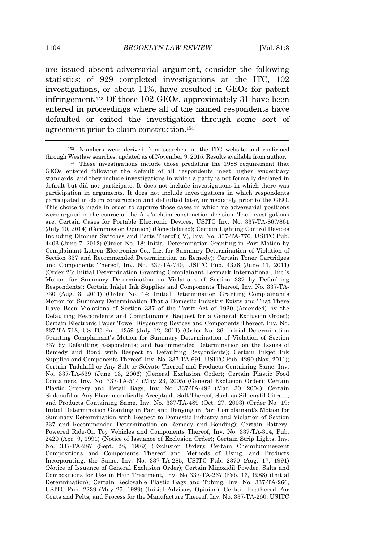are issued absent adversarial argument, consider the following statistics: of 929 completed investigations at the ITC, 102 investigations, or about 11%, have resulted in GEOs for patent infringement.<sup>153</sup> Of those 102 GEOs, approximately 31 have been entered in proceedings where all of the named respondents have defaulted or exited the investigation through some sort of agreement prior to claim construction.<sup>154</sup>

<sup>153</sup> Numbers were derived from searches on the ITC website and confirmed through Westlaw searches, updated as of November 9, 2015. Results available from author.

<sup>154</sup> These investigations include those predating the 1988 requirement that GEOs entered following the default of all respondents meet higher evidentiary standards, and they include investigations in which a party is not formally declared in default but did not participate. It does not include investigations in which there was participation in arguments. It does not include investigations in which respondents participated in claim construction and defaulted later, immediately prior to the GEO. This choice is made in order to capture those cases in which no adversarial positions were argued in the course of the ALJ's claim-construction decision. The investigations are: Certain Cases for Portable Electronic Devices, USITC Inv. No. 337-TA-867/861 (July 10, 2014) (Commission Opinion) (Consolidated); Certain Lighting Control Devices Including Dimmer Switches and Parts Therof (IV), Inv. No. 337-TA-776, USITC Pub. 4403 (June 7, 2012) (Order No. 18: Initial Determination Granting in Part Motion by Complainant Lutron Electronics Co., Inc. for Summary Determination of Violation of Section 337 and Recommended Determination on Remedy); Certain Toner Cartridges and Components Thereof, Inv. No. 337-TA-740, USITC Pub. 4376 (June 11, 2011) (Order 26: Initial Determination Granting Complainant Lexmark International, Inc.'s Motion for Summary Determination on Violations of Section 337 by Defaulting Respondents); Certain Inkjet Ink Supplies and Components Thereof, Inv. No. 337-TA-730 (Aug. 3, 2011) (Order No. 14: Initial Determination Granting Complainant's Motion for Summary Determination That a Domestic Industry Exists and That There Have Been Violations of Section 337 of the Tariff Act of 1930 (Amended) by the Defaulting Respondents and Complainants' Request for a General Exclusion Order); Certain Electronic Paper Towel Dispensing Devices and Components Thereof, Inv. No. 337-TA-718, USITC Pub. 4359 (July 12, 2011) (Order No. 36: Initial Determination Granting Complainant's Motion for Summary Determination of Violation of Section 337 by Defaulting Respondents; and Recommended Determination on the Issues of Remedy and Bond with Respect to Defaulting Respondents); Certain Inkjet Ink Supplies and Components Thereof, Inv. No. 337-TA-691, USITC Pub. 4290 (Nov. 2011); Certain Tadalafil or Any Salt or Solvate Thereof and Products Containing Same, Inv. No. 337-TA-539 (June 13, 2006) (General Exclusion Order); Certain Plastic Food Containers, Inv. No. 337-TA-514 (May 23, 2005) (General Exclusion Order); Certain Plastic Grocery and Retail Bags, Inv. No. 337-TA-492 (Mar. 30, 2004); Certain Sildenafil or Any Pharmaceutically Acceptable Salt Thereof, Such as Sildenafil Citrate, and Products Containing Same, Inv. No. 337-TA-489 (Oct. 27, 2003) (Order No. 19: Initial Determination Granting in Part and Denying in Part Complainant's Motion for Summary Determination with Respect to Domestic Industry and Violation of Section 337 and Recommended Determination on Remedy and Bonding); Certain Battery-Powered Ride-On Toy Vehicles and Components Thereof, Inv. No. 337-TA-314, Pub. 2420 (Apr. 9, 1991) (Notice of Issuance of Exclusion Order); Certain Strip Lights, Inv. No. 337-TA-287 (Sept. 28, 1989) (Exclusion Order); Certain Chemiluminescent Compositions and Components Thereof and Methods of Using, and Products Incorporating, the Same, Inv. No. 337-TA-285, USITC Pub. 2370 (Aug. 17, 1991) (Notice of Issuance of General Exclusion Order); Certain Minoxidil Powder, Salts and Compositions for Use in Hair Treatment, Inv. No 337-TA-267 (Feb. 16, 1988) (Initial Determination); Certain Reclosable Plastic Bags and Tubing, Inv. No. 337-TA-266, USITC Pub. 2239 (May 25, 1989) (Initial Advisory Opinion); Certain Feathered Fur Coats and Pelts, and Process for the Manufacture Thereof, Inv. No. 337-TA-260, USITC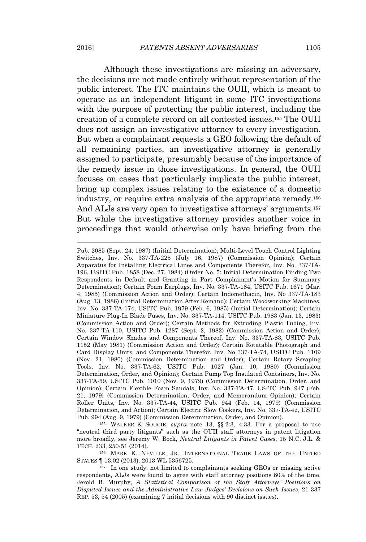Although these investigations are missing an adversary, the decisions are not made entirely without representation of the public interest. The ITC maintains the OUII, which is meant to operate as an independent litigant in some ITC investigations with the purpose of protecting the public interest, including the creation of a complete record on all contested issues.<sup>155</sup> The OUII does not assign an investigative attorney to every investigation. But when a complainant requests a GEO following the default of all remaining parties, an investigative attorney is generally assigned to participate, presumably because of the importance of the remedy issue in those investigations. In general, the OUII focuses on cases that particularly implicate the public interest, bring up complex issues relating to the existence of a domestic industry, or require extra analysis of the appropriate remedy.<sup>156</sup> And ALJs are very open to investigative attorneys' arguments.<sup>157</sup> But while the investigative attorney provides another voice in proceedings that would otherwise only have briefing from the

<sup>155</sup> WALKER & SOUCIE, *supra* note 13, §§ 2:3, 4:33. For a proposal to use "neutral third party litigants" such as the OUII staff attorneys in patent litigation more broadly, see Jeremy W. Bock, *Neutral Litigants in Patent Cases*, 15 N.C. J.L. & TECH. 233, 250-51 (2014).

<sup>156</sup> MARK K. NEVILLE, JR., INTERNATIONAL TRADE LAWS OF THE UNITED STATES ¶ 13.02 (2013), 2013 WL 5356725.

Pub. 2085 (Sept. 24, 1987) (Initial Determination); Multi-Level Touch Control Lighting Switches, Inv. No. 337-TA-225 (July 16, 1987) (Commission Opinion); Certain Apparatus for Installing Electrical Lines and Components Therefor, Inv. No. 337-TA-196, USITC Pub. 1858 (Dec. 27, 1984) (Order No. 5: Initial Determination Finding Two Respondents in Default and Granting in Part Complainant's Motion for Summary Determination); Certain Foam Earplugs, Inv. No. 337-TA-184, USITC Pub. 1671 (Mar. 4, 1985) (Commission Action and Order); Certain Indomethacin, Inv. No 337-TA-183 (Aug. 13, 1986) (Initial Determination After Remand); Certain Woodworking Machines, Inv. No. 337-TA-174, USITC Pub. 1979 (Feb. 6, 1985) (Initial Determination); Certain Miniature Plug-In Blade Fuses, Inv. No. 337-TA-114, USITC Pub. 1983 (Jan. 13, 1983) (Commission Action and Order); Certain Methods for Extruding Plastic Tubing, Inv. No. 337-TA-110, USITC Pub. 1287 (Sept. 2, 1982) (Commission Action and Order); Certain Window Shades and Components Thereof, Inv. No. 337-TA-83, USITC Pub. 1152 (May 1981) (Commission Action and Order); Certain Rotatable Photograph and Card Display Units, and Components Therefor, Inv. No 337-TA-74, USITC Pub. 1109 (Nov. 21, 1980) (Commission Determination and Order); Certain Rotary Scraping Tools, Inv. No. 337-TA-62, USITC Pub. 1027 (Jan. 10, 1980) (Commission Determination, Order, and Opinion); Certain Pump Top Insulated Containers, Inv. No. 337-TA-59, USITC Pub. 1010 (Nov. 9, 1979) (Commission Determination, Order, and Opinion); Certain Flexible Foam Sandals, Inv. No. 337-TA-47, USITC Pub. 947 (Feb. 21, 1979) (Commission Determination, Order, and Memorandum Opinion); Certain Roller Units, Inv. No. 337-TA-44, USITC Pub. 944 (Feb. 14, 1979) (Commission Determination, and Action); Certain Electric Slow Cookers, Inv. No. 337-TA-42, USITC Pub. 994 (Aug. 9, 1979) (Commission Determination, Order, and Opinion).

<sup>157</sup> In one study, not limited to complainants seeking GEOs or missing active respondents, ALJs were found to agree with staff attorney positions 80% of the time. Jerold B. Murphy, *A Statistical Comparison of the Staff Attorneys' Positions on Disputed Issues and the Administrative Law Judges' Decisions on Such Issues*, 21 337 REP. 53, 54 (2005) (examining 7 initial decisions with 90 distinct issues).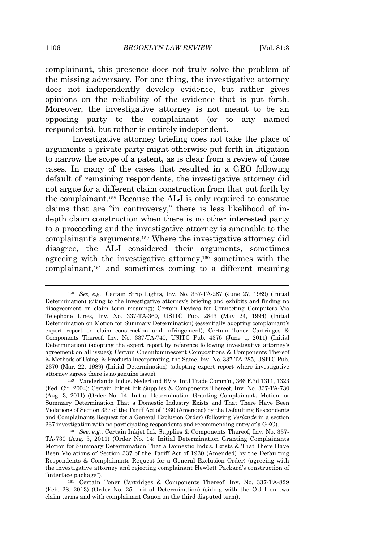complainant, this presence does not truly solve the problem of the missing adversary. For one thing, the investigative attorney does not independently develop evidence, but rather gives opinions on the reliability of the evidence that is put forth. Moreover, the investigative attorney is not meant to be an opposing party to the complainant (or to any named respondents), but rather is entirely independent.

Investigative attorney briefing does not take the place of arguments a private party might otherwise put forth in litigation to narrow the scope of a patent, as is clear from a review of those cases. In many of the cases that resulted in a GEO following default of remaining respondents, the investigative attorney did not argue for a different claim construction from that put forth by the complainant.<sup>158</sup> Because the ALJ is only required to construe claims that are "in controversy," there is less likelihood of indepth claim construction when there is no other interested party to a proceeding and the investigative attorney is amenable to the complainant's arguments.<sup>159</sup> Where the investigative attorney did disagree, the ALJ considered their arguments, sometimes agreeing with the investigative attorney,<sup>160</sup> sometimes with the complainant,<sup>161</sup> and sometimes coming to a different meaning

<sup>158</sup> *See, e.g.*, Certain Strip Lights, Inv. No. 337-TA-287 (June 27, 1989) (Initial Determination) (citing to the investigative attorney's briefing and exhibits and finding no disagreement on claim term meaning); Certain Devices for Connecting Computers Via Telephone Lines, Inv. No. 337-TA-360, USITC Pub. 2843 (May 24, 1994) (Initial Determination on Motion for Summary Determination) (essentially adopting complainant's expert report on claim construction and infringement); Certain Toner Cartridges & Components Thereof, Inv. No. 337-TA-740, USITC Pub. 4376 (June 1, 2011) (Initial Determination) (adopting the expert report by reference following investigative attorney's agreement on all issues); Certain Chemiluminescent Compositions & Components Thereof & Methods of Using, & Products Incorporating, the Same, Inv. No. 337-TA-285, USITC Pub. 2370 (Mar. 22, 1989) (Initial Determination) (adopting expert report where investigative attorney agrees there is no genuine issue).

<sup>159</sup> Vanderlande Indus. Nederland BV v. Int'l Trade Comm'n., 366 F.3d 1311, 1323 (Fed. Cir. 2004); Certain Inkjet Ink Supplies & Components Thereof, Inv. No. 337-TA-730 (Aug. 3, 2011) (Order No. 14: Initial Determination Granting Complainants Motion for Summary Determination That a Domestic Industry Exists and That There Have Been Violations of Section 337 of the Tariff Act of 1930 (Amended) by the Defaulting Respondents and Complainants Request for a General Exclusion Order) (following *Verlande* in a section 337 investigation with no participating respondents and recommending entry of a GEO).

<sup>160</sup> *See, e.g.*, Certain Inkjet Ink Supplies & Components Thereof, Inv. No. 337- TA-730 (Aug. 3, 2011) (Order No. 14: Initial Determination Granting Complainants Motion for Summary Determination That a Domestic Indus. Exists & That There Have Been Violations of Section 337 of the Tariff Act of 1930 (Amended) by the Defaulting Respondents & Complainants Request for a General Exclusion Order) (agreeing with the investigative attorney and rejecting complainant Hewlett Packard's construction of "interface package").

<sup>161</sup> Certain Toner Cartridges & Components Thereof, Inv. No. 337-TA-829 (Feb. 28, 2013) (Order No. 25: Initial Determination) (siding with the OUII on two claim terms and with complainant Canon on the third disputed term).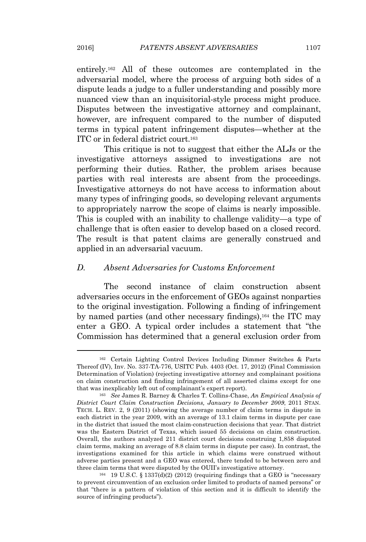entirely.<sup>162</sup> All of these outcomes are contemplated in the adversarial model, where the process of arguing both sides of a dispute leads a judge to a fuller understanding and possibly more nuanced view than an inquisitorial-style process might produce. Disputes between the investigative attorney and complainant, however, are infrequent compared to the number of disputed terms in typical patent infringement disputes—whether at the ITC or in federal district court.<sup>163</sup>

This critique is not to suggest that either the ALJs or the investigative attorneys assigned to investigations are not performing their duties. Rather, the problem arises because parties with real interests are absent from the proceedings. Investigative attorneys do not have access to information about many types of infringing goods, so developing relevant arguments to appropriately narrow the scope of claims is nearly impossible. This is coupled with an inability to challenge validity—a type of challenge that is often easier to develop based on a closed record. The result is that patent claims are generally construed and applied in an adversarial vacuum.

#### *D. Absent Adversaries for Customs Enforcement*

The second instance of claim construction absent adversaries occurs in the enforcement of GEOs against nonparties to the original investigation. Following a finding of infringement by named parties (and other necessary findings),<sup>164</sup> the ITC may enter a GEO. A typical order includes a statement that "the Commission has determined that a general exclusion order from

<sup>162</sup> Certain Lighting Control Devices Including Dimmer Switches & Parts Thereof (IV), Inv. No. 337-TA-776, USITC Pub. 4403 (Oct. 17, 2012) (Final Commission Determination of Violation) (rejecting investigative attorney and complainant positions on claim construction and finding infringement of all asserted claims except for one that was inexplicably left out of complainant's expert report).

<sup>163</sup> *See* James R. Barney & Charles T. Collins-Chase, *An Empirical Analysis of District Court Claim Construction Decisions, January to December 2009*, 2011 STAN. TECH. L. REV. 2, 9 (2011) (showing the average number of claim terms in dispute in each district in the year 2009, with an average of 13.1 claim terms in dispute per case in the district that issued the most claim-construction decisions that year. That district was the Eastern District of Texas, which issued 55 decisions on claim construction. Overall, the authors analyzed 211 district court decisions construing 1,858 disputed claim terms, making an average of 8.8 claim terms in dispute per case). In contrast, the investigations examined for this article in which claims were construed without adverse parties present and a GEO was entered, there tended to be between zero and three claim terms that were disputed by the OUII's investigative attorney.

 $164$  19 U.S.C. § 1337(d)(2) (2012) (requiring findings that a GEO is "necessary to prevent circumvention of an exclusion order limited to products of named persons" or that "there is a pattern of violation of this section and it is difficult to identify the source of infringing products").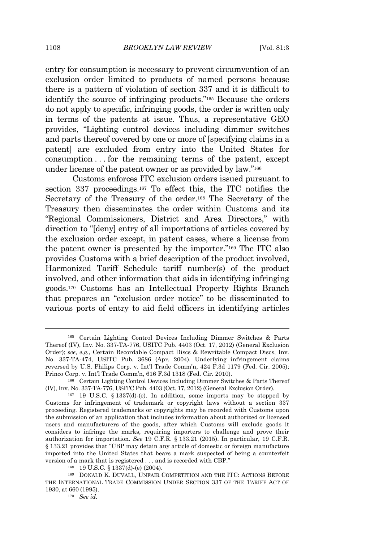entry for consumption is necessary to prevent circumvention of an exclusion order limited to products of named persons because there is a pattern of violation of section 337 and it is difficult to identify the source of infringing products." <sup>165</sup> Because the orders do not apply to specific, infringing goods, the order is written only in terms of the patents at issue. Thus, a representative GEO provides, "Lighting control devices including dimmer switches and parts thereof covered by one or more of [specifying claims in a patent] are excluded from entry into the United States for consumption . . . for the remaining terms of the patent, except under license of the patent owner or as provided by law."<sup>166</sup>

Customs enforces ITC exclusion orders issued pursuant to section 337 proceedings.<sup>167</sup> To effect this, the ITC notifies the Secretary of the Treasury of the order.<sup>168</sup> The Secretary of the Treasury then disseminates the order within Customs and its "Regional Commissioners, District and Area Directors," with direction to "[deny] entry of all importations of articles covered by the exclusion order except, in patent cases, where a license from the patent owner is presented by the importer." <sup>169</sup> The ITC also provides Customs with a brief description of the product involved, Harmonized Tariff Schedule tariff number(s) of the product involved, and other information that aids in identifying infringing goods.<sup>170</sup> Customs has an Intellectual Property Rights Branch that prepares an "exclusion order notice" to be disseminated to various ports of entry to aid field officers in identifying articles

<sup>165</sup> Certain Lighting Control Devices Including Dimmer Switches & Parts Thereof (IV), Inv. No. 337-TA-776, USITC Pub. 4403 (Oct. 17, 2012) (General Exclusion Order); *see, e.g.*, Certain Recordable Compact Discs & Rewritable Compact Discs, Inv. No. 337-TA-474, USITC Pub. 3686 (Apr. 2004). Underlying infringement claims reversed by U.S. Philips Corp. v. Int'l Trade Comm'n, 424 F.3d 1179 (Fed. Cir. 2005); Princo Corp. v. Int'l Trade Comm'n, 616 F.3d 1318 (Fed. Cir. 2010).

<sup>166</sup> Certain Lighting Control Devices Including Dimmer Switches & Parts Thereof (IV), Inv. No. 337-TA-776, USITC Pub. 4403 (Oct. 17, 2012) (General Exclusion Order).

 $167$  19 U.S.C. § 1337(d)-(e). In addition, some imports may be stopped by Customs for infringement of trademark or copyright laws without a section 337 proceeding. Registered trademarks or copyrights may be recorded with Customs upon the submission of an application that includes information about authorized or licensed users and manufacturers of the goods, after which Customs will exclude goods it considers to infringe the marks, requiring importers to challenge and prove their authorization for importation. *See* 19 C.F.R. § 133.21 (2015). In particular, 19 C.F.R. § 133.21 provides that "CBP may detain any article of domestic or foreign manufacture imported into the United States that bears a mark suspected of being a counterfeit version of a mark that is registered . . . and is recorded with CBP."

<sup>168</sup> 19 U.S.C. § 1337(d)-(e) (2004).

<sup>169</sup> DONALD K. DUVALL, UNFAIR COMPETITION AND THE ITC: ACTIONS BEFORE THE INTERNATIONAL TRADE COMMISSION UNDER SECTION 337 OF THE TARIFF ACT OF 1930, at 660 (1995).

<sup>170</sup> *See id.*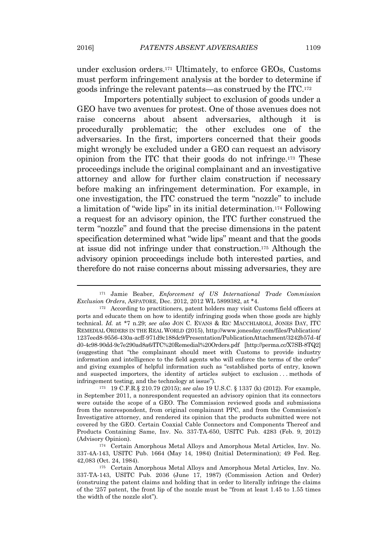under exclusion orders.<sup>171</sup> Ultimately, to enforce GEOs, Customs must perform infringement analysis at the border to determine if goods infringe the relevant patents—as construed by the ITC.<sup>172</sup>

Importers potentially subject to exclusion of goods under a GEO have two avenues for protest. One of those avenues does not raise concerns about absent adversaries, although it is procedurally problematic; the other excludes one of the adversaries. In the first, importers concerned that their goods might wrongly be excluded under a GEO can request an advisory opinion from the ITC that their goods do not infringe.<sup>173</sup> These proceedings include the original complainant and an investigative attorney and allow for further claim construction if necessary before making an infringement determination. For example, in one investigation, the ITC construed the term "nozzle" to include a limitation of "wide lips" in its initial determination.<sup>174</sup> Following a request for an advisory opinion, the ITC further construed the term "nozzle" and found that the precise dimensions in the patent specification determined what "wide lips" meant and that the goods at issue did not infringe under that construction.<sup>175</sup> Although the advisory opinion proceedings include both interested parties, and therefore do not raise concerns about missing adversaries, they are

<sup>171</sup> Jamie Beaber, *Enforcement of US International Trade Commission Exclusion Orders*, ASPATORE, Dec. 2012, 2012 WL 5899382, at \*4.

<sup>172</sup> According to practitioners, patent holders may visit Customs field officers at ports and educate them on how to identify infringing goods when those goods are highly technical. *Id.* at \*7 n.29; *see also* JON C. EVANS & RIC MACCHIAROLI, JONES DAY, ITC REMEDIAL ORDERS IN THE REAL WORLD (2015), http://www.jonesday.com/files/Publication/ 1237eed8-9556-430a-acff-971d9c188dc9/Presentation/PublicationAttachment/3242b57d-4f d0-4c98-90dd-9c7e290ad8a6/ITC%20Remedial%20Orders.pdf [http://perma.cc/X7SB-8TQ2] (suggesting that "the complainant should meet with Customs to provide industry information and intelligence to the field agents who will enforce the terms of the order" and giving examples of helpful information such as "established ports of entry, known and suspected importers, the identity of articles subject to exclusion . . . methods of infringement testing, and the technology at issue").

<sup>173</sup> 19 C.F.R.§ 210.79 (2015); *see also* 19 U.S.C. § 1337 (k) (2012). For example, in September 2011, a nonrespondent requested an advisory opinion that its connectors were outside the scope of a GEO. The Commission reviewed goods and submissions from the nonrespondent, from original complainant PPC, and from the Commission's Investigative attorney, and rendered its opinion that the products submitted were not covered by the GEO. Certain Coaxial Cable Connectors and Components Thereof and Products Containing Same, Inv. No. 337-TA-650, USITC Pub. 4283 (Feb. 9, 2012) (Advisory Opinion).

<sup>174</sup> Certain Amorphous Metal Alloys and Amorphous Metal Articles, Inv. No. 337-4A-143, USITC Pub. 1664 (May 14, 1984) (Initial Determination); 49 Fed. Reg. 42,083 (Oct. 24, 1984).

<sup>175</sup> Certain Amorphous Metal Alloys and Amorphous Metal Articles, Inv. No. 337-TA-143, USITC Pub. 2036 (June 17, 1987) (Commission Action and Order) (construing the patent claims and holding that in order to literally infringe the claims of the '257 patent, the front lip of the nozzle must be "from at least 1.45 to 1.55 times the width of the nozzle slot").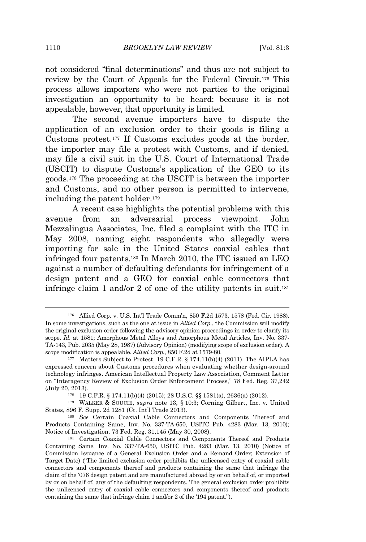not considered "final determinations" and thus are not subject to review by the Court of Appeals for the Federal Circuit.<sup>176</sup> This process allows importers who were not parties to the original investigation an opportunity to be heard; because it is not appealable, however, that opportunity is limited.

The second avenue importers have to dispute the application of an exclusion order to their goods is filing a Customs protest.<sup>177</sup> If Customs excludes goods at the border, the importer may file a protest with Customs, and if denied, may file a civil suit in the U.S. Court of International Trade (USCIT) to dispute Customs's application of the GEO to its goods.<sup>178</sup> The proceeding at the USCIT is between the importer and Customs, and no other person is permitted to intervene, including the patent holder.<sup>179</sup>

A recent case highlights the potential problems with this avenue from an adversarial process viewpoint. John Mezzalingua Associates, Inc. filed a complaint with the ITC in May 2008, naming eight respondents who allegedly were importing for sale in the United States coaxial cables that infringed four patents.<sup>180</sup> In March 2010, the ITC issued an LEO against a number of defaulting defendants for infringement of a design patent and a GEO for coaxial cable connectors that infringe claim 1 and/or 2 of one of the utility patents in suit.<sup>181</sup>

<sup>176</sup> Allied Corp. v. U.S. Int'l Trade Comm'n, 850 F.2d 1573, 1578 (Fed. Cir. 1988). In some investigations, such as the one at issue in *Allied Corp.*, the Commission will modify the original exclusion order following the advisory opinion proceedings in order to clarify its scope. *Id.* at 1581; Amorphous Metal Alloys and Amorphous Metal Articles, Inv. No. 337- TA-143, Pub. 2035 (May 28, 1987) (Advisory Opinion) (modifying scope of exclusion order). A scope modification is appealable. *Allied Corp.*, 850 F.2d at 1579-80.

<sup>&</sup>lt;sup>177</sup> Matters Subject to Protest, 19 C.F.R.  $\S 174.11(b)(4)$  (2011). The AIPLA has expressed concern about Customs procedures when evaluating whether design-around technology infringes. American Intellectual Property Law Association, Comment Letter on "Interagency Review of Exclusion Order Enforcement Process," 78 Fed. Reg. 37,242 (July 20, 2013).

<sup>178</sup> 19 C.F.R. § 174.11(b)(4) (2015); 28 U.S.C. §§ 1581(a), 2636(a) (2012).

<sup>179</sup> WALKER & SOUCIE, *supra* note 13, § 10:3; Corning Gilbert, Inc. v. United States, 896 F. Supp. 2d 1281 (Ct. Int'l Trade 2013).

<sup>180</sup> *See* Certain Coaxial Cable Connectors and Components Thereof and Products Containing Same, Inv. No. 337-TA-650, USITC Pub. 4283 (Mar. 13, 2010); Notice of Investigation, 73 Fed. Reg. 31,145 (May 30, 2008).

<sup>181</sup> Certain Coaxial Cable Connectors and Components Thereof and Products Containing Same, Inv. No. 337-TA-650, USITC Pub. 4283 (Mar. 13, 2010) (Notice of Commission Issuance of a General Exclusion Order and a Remand Order; Extension of Target Date) ("The limited exclusion order prohibits the unlicensed entry of coaxial cable connectors and components thereof and products containing the same that infringe the claim of the '076 design patent and are manufactured abroad by or on behalf of, or imported by or on behalf of, any of the defaulting respondents. The general exclusion order prohibits the unlicensed entry of coaxial cable connectors and components thereof and products containing the same that infringe claim 1 and/or 2 of the '194 patent.").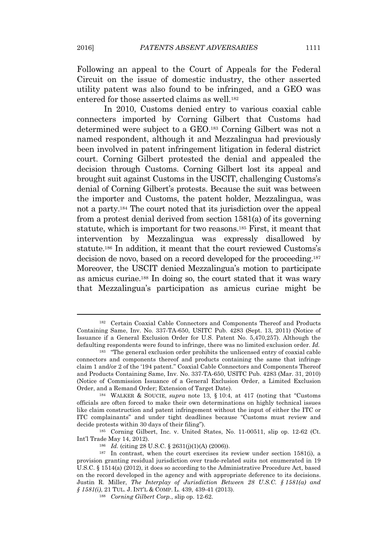Following an appeal to the Court of Appeals for the Federal Circuit on the issue of domestic industry, the other asserted utility patent was also found to be infringed, and a GEO was entered for those asserted claims as well.<sup>182</sup>

In 2010, Customs denied entry to various coaxial cable connecters imported by Corning Gilbert that Customs had determined were subject to a GEO.<sup>183</sup> Corning Gilbert was not a named respondent, although it and Mezzalingua had previously been involved in patent infringement litigation in federal district court. Corning Gilbert protested the denial and appealed the decision through Customs. Corning Gilbert lost its appeal and brought suit against Customs in the USCIT, challenging Customs's denial of Corning Gilbert's protests. Because the suit was between the importer and Customs, the patent holder, Mezzalingua, was not a party.<sup>184</sup> The court noted that its jurisdiction over the appeal from a protest denial derived from section 1581(a) of its governing statute, which is important for two reasons.<sup>185</sup> First, it meant that intervention by Mezzalingua was expressly disallowed by statute.<sup>186</sup> In addition, it meant that the court reviewed Customs's decision de novo, based on a record developed for the proceeding.<sup>187</sup> Moreover, the USCIT denied Mezzalingua's motion to participate as amicus curiae.<sup>188</sup> In doing so, the court stated that it was wary that Mezzalingua's participation as amicus curiae might be

<sup>185</sup> Corning Gilbert, Inc. v. United States, No. 11-00511, slip op. 12-62 (Ct. Int'l Trade May 14, 2012).

<sup>182</sup> Certain Coaxial Cable Connectors and Components Thereof and Products Containing Same, Inv. No. 337-TA-650, USITC Pub. 4283 (Sept. 13, 2011) (Notice of Issuance if a General Exclusion Order for U.S. Patent No. 5,470,257). Although the defaulting respondents were found to infringe, there was no limited exclusion order. *Id.*

<sup>183</sup> "The general exclusion order prohibits the unlicensed entry of coaxial cable connectors and components thereof and products containing the same that infringe claim 1 and/or 2 of the '194 patent." Coaxial Cable Connectors and Components Thereof and Products Containing Same, Inv. No. 337-TA-650, USITC Pub. 4283 (Mar. 31, 2010) (Notice of Commission Issuance of a General Exclusion Order, a Limited Exclusion Order, and a Remand Order; Extension of Target Date).

<sup>184</sup> WALKER & SOUCIE, *supra* note 13, § 10:4, at 417 (noting that "Customs officials are often forced to make their own determinations on highly technical issues like claim construction and patent infringement without the input of either the ITC or ITC complainants" and under tight deadlines because "Customs must review and decide protests within 30 days of their filing").

<sup>186</sup> *Id.* (citing 28 U.S.C. § 2631(j)(1)(A) (2006)).

 $187$  In contrast, when the court exercises its review under section 1581(i), a provision granting residual jurisdiction over trade-related suits not enumerated in 19 U.S.C. § 1514(a) (2012), it does so according to the Administrative Procedure Act, based on the record developed in the agency and with appropriate deference to its decisions. Justin R. Miller, *The Interplay of Jurisdiction Between 28 U.S.C. § 1581(a) and § 1581(i)*, 21 TUL. J. INT'<sup>L</sup> & COMP. L. 439, 439-41 (2013).

<sup>188</sup> *Corning Gilbert Corp.*, slip op. 12-62.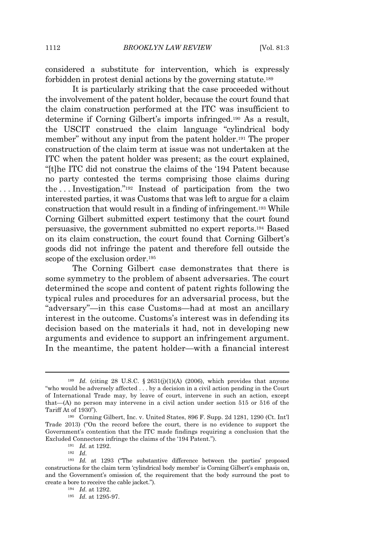considered a substitute for intervention, which is expressly forbidden in protest denial actions by the governing statute.<sup>189</sup>

It is particularly striking that the case proceeded without the involvement of the patent holder, because the court found that the claim construction performed at the ITC was insufficient to determine if Corning Gilbert's imports infringed.<sup>190</sup> As a result, the USCIT construed the claim language "cylindrical body member" without any input from the patent holder.<sup>191</sup> The proper construction of the claim term at issue was not undertaken at the ITC when the patent holder was present; as the court explained, "[t]he ITC did not construe the claims of the '194 Patent because no party contested the terms comprising those claims during the . . . Investigation." <sup>192</sup> Instead of participation from the two interested parties, it was Customs that was left to argue for a claim construction that would result in a finding of infringement.<sup>193</sup> While Corning Gilbert submitted expert testimony that the court found persuasive, the government submitted no expert reports.<sup>194</sup> Based on its claim construction, the court found that Corning Gilbert's goods did not infringe the patent and therefore fell outside the scope of the exclusion order.<sup>195</sup>

The Corning Gilbert case demonstrates that there is some symmetry to the problem of absent adversaries. The court determined the scope and content of patent rights following the typical rules and procedures for an adversarial process, but the "adversary"—in this case Customs—had at most an ancillary interest in the outcome. Customs's interest was in defending its decision based on the materials it had, not in developing new arguments and evidence to support an infringement argument. In the meantime, the patent holder—with a financial interest

<sup>192</sup> *Id.*

<sup>&</sup>lt;sup>189</sup> *Id.* (citing 28 U.S.C. § 2631(j)(1)(A) (2006), which provides that anyone "who would be adversely affected . . . by a decision in a civil action pending in the Court of International Trade may, by leave of court, intervene in such an action, except that—(A) no person may intervene in a civil action under section 515 or 516 of the Tariff At of 1930").

<sup>190</sup> Corning Gilbert, Inc. v. United States, 896 F. Supp. 2d 1281, 1290 (Ct. Int'l Trade 2013) ("On the record before the court, there is no evidence to support the Government's contention that the ITC made findings requiring a conclusion that the Excluded Connectors infringe the claims of the '194 Patent.").

<sup>191</sup> *Id.* at 1292.

<sup>193</sup> *Id.* at 1293 ("The substantive difference between the parties' proposed constructions for the claim term 'cylindrical body member' is Corning Gilbert's emphasis on, and the Government's omission of, the requirement that the body surround the post to create a bore to receive the cable jacket.").

<sup>194</sup> *Id.* at 1292.

<sup>195</sup> *Id.* at 1295-97.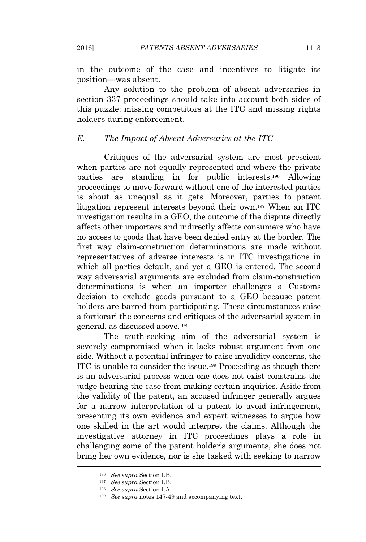in the outcome of the case and incentives to litigate its position—was absent.

Any solution to the problem of absent adversaries in section 337 proceedings should take into account both sides of this puzzle: missing competitors at the ITC and missing rights holders during enforcement.

#### *E. The Impact of Absent Adversaries at the ITC*

Critiques of the adversarial system are most prescient when parties are not equally represented and where the private parties are standing in for public interests.<sup>196</sup> Allowing proceedings to move forward without one of the interested parties is about as unequal as it gets. Moreover, parties to patent litigation represent interests beyond their own.<sup>197</sup> When an ITC investigation results in a GEO, the outcome of the dispute directly affects other importers and indirectly affects consumers who have no access to goods that have been denied entry at the border. The first way claim-construction determinations are made without representatives of adverse interests is in ITC investigations in which all parties default, and yet a GEO is entered. The second way adversarial arguments are excluded from claim-construction determinations is when an importer challenges a Customs decision to exclude goods pursuant to a GEO because patent holders are barred from participating. These circumstances raise a fortiorari the concerns and critiques of the adversarial system in general, as discussed above.<sup>198</sup>

The truth-seeking aim of the adversarial system is severely compromised when it lacks robust argument from one side. Without a potential infringer to raise invalidity concerns, the ITC is unable to consider the issue.<sup>199</sup> Proceeding as though there is an adversarial process when one does not exist constrains the judge hearing the case from making certain inquiries. Aside from the validity of the patent, an accused infringer generally argues for a narrow interpretation of a patent to avoid infringement, presenting its own evidence and expert witnesses to argue how one skilled in the art would interpret the claims. Although the investigative attorney in ITC proceedings plays a role in challenging some of the patent holder's arguments, she does not bring her own evidence, nor is she tasked with seeking to narrow

<sup>196</sup> *See supra* Section I.B.

<sup>197</sup> *See supra* Section I.B.

<sup>198</sup> *See supra* Section I.A.

<sup>199</sup> *See supra* notes 147-49 and accompanying text.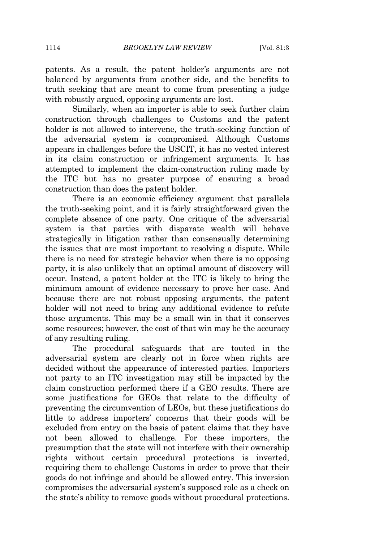patents. As a result, the patent holder's arguments are not balanced by arguments from another side, and the benefits to truth seeking that are meant to come from presenting a judge with robustly argued, opposing arguments are lost.

Similarly, when an importer is able to seek further claim construction through challenges to Customs and the patent holder is not allowed to intervene, the truth-seeking function of the adversarial system is compromised. Although Customs appears in challenges before the USCIT, it has no vested interest in its claim construction or infringement arguments. It has attempted to implement the claim-construction ruling made by the ITC but has no greater purpose of ensuring a broad construction than does the patent holder.

There is an economic efficiency argument that parallels the truth-seeking point, and it is fairly straightforward given the complete absence of one party. One critique of the adversarial system is that parties with disparate wealth will behave strategically in litigation rather than consensually determining the issues that are most important to resolving a dispute. While there is no need for strategic behavior when there is no opposing party, it is also unlikely that an optimal amount of discovery will occur. Instead, a patent holder at the ITC is likely to bring the minimum amount of evidence necessary to prove her case. And because there are not robust opposing arguments, the patent holder will not need to bring any additional evidence to refute those arguments. This may be a small win in that it conserves some resources; however, the cost of that win may be the accuracy of any resulting ruling.

The procedural safeguards that are touted in the adversarial system are clearly not in force when rights are decided without the appearance of interested parties. Importers not party to an ITC investigation may still be impacted by the claim construction performed there if a GEO results. There are some justifications for GEOs that relate to the difficulty of preventing the circumvention of LEOs, but these justifications do little to address importers' concerns that their goods will be excluded from entry on the basis of patent claims that they have not been allowed to challenge. For these importers, the presumption that the state will not interfere with their ownership rights without certain procedural protections is inverted, requiring them to challenge Customs in order to prove that their goods do not infringe and should be allowed entry. This inversion compromises the adversarial system's supposed role as a check on the state's ability to remove goods without procedural protections.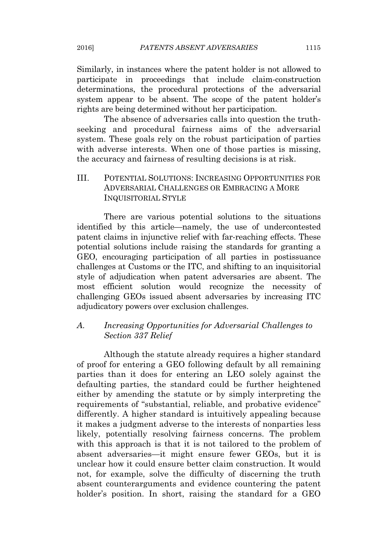Similarly, in instances where the patent holder is not allowed to participate in proceedings that include claim-construction determinations, the procedural protections of the adversarial system appear to be absent. The scope of the patent holder's rights are being determined without her participation.

The absence of adversaries calls into question the truthseeking and procedural fairness aims of the adversarial system. These goals rely on the robust participation of parties with adverse interests. When one of those parties is missing, the accuracy and fairness of resulting decisions is at risk.

# III. POTENTIAL SOLUTIONS: INCREASING OPPORTUNITIES FOR ADVERSARIAL CHALLENGES OR EMBRACING A MORE INQUISITORIAL STYLE

There are various potential solutions to the situations identified by this article—namely, the use of undercontested patent claims in injunctive relief with far-reaching effects. These potential solutions include raising the standards for granting a GEO, encouraging participation of all parties in postissuance challenges at Customs or the ITC, and shifting to an inquisitorial style of adjudication when patent adversaries are absent. The most efficient solution would recognize the necessity of challenging GEOs issued absent adversaries by increasing ITC adjudicatory powers over exclusion challenges.

# *A. Increasing Opportunities for Adversarial Challenges to Section 337 Relief*

Although the statute already requires a higher standard of proof for entering a GEO following default by all remaining parties than it does for entering an LEO solely against the defaulting parties, the standard could be further heightened either by amending the statute or by simply interpreting the requirements of "substantial, reliable, and probative evidence" differently. A higher standard is intuitively appealing because it makes a judgment adverse to the interests of nonparties less likely, potentially resolving fairness concerns. The problem with this approach is that it is not tailored to the problem of absent adversaries—it might ensure fewer GEOs, but it is unclear how it could ensure better claim construction. It would not, for example, solve the difficulty of discerning the truth absent counterarguments and evidence countering the patent holder's position. In short, raising the standard for a GEO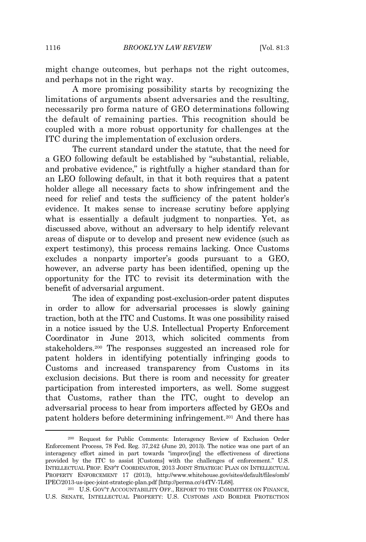might change outcomes, but perhaps not the right outcomes, and perhaps not in the right way.

A more promising possibility starts by recognizing the limitations of arguments absent adversaries and the resulting, necessarily pro forma nature of GEO determinations following the default of remaining parties. This recognition should be coupled with a more robust opportunity for challenges at the ITC during the implementation of exclusion orders.

The current standard under the statute, that the need for a GEO following default be established by "substantial, reliable, and probative evidence," is rightfully a higher standard than for an LEO following default, in that it both requires that a patent holder allege all necessary facts to show infringement and the need for relief and tests the sufficiency of the patent holder's evidence. It makes sense to increase scrutiny before applying what is essentially a default judgment to nonparties. Yet, as discussed above, without an adversary to help identify relevant areas of dispute or to develop and present new evidence (such as expert testimony), this process remains lacking. Once Customs excludes a nonparty importer's goods pursuant to a GEO, however, an adverse party has been identified, opening up the opportunity for the ITC to revisit its determination with the benefit of adversarial argument.

The idea of expanding post-exclusion-order patent disputes in order to allow for adversarial processes is slowly gaining traction, both at the ITC and Customs. It was one possibility raised in a notice issued by the U.S. Intellectual Property Enforcement Coordinator in June 2013, which solicited comments from stakeholders.<sup>200</sup> The responses suggested an increased role for patent holders in identifying potentially infringing goods to Customs and increased transparency from Customs in its exclusion decisions. But there is room and necessity for greater participation from interested importers, as well. Some suggest that Customs, rather than the ITC, ought to develop an adversarial process to hear from importers affected by GEOs and patent holders before determining infringement.<sup>201</sup> And there has

<sup>200</sup> Request for Public Comments: Interagency Review of Exclusion Order Enforcement Process, 78 Fed. Reg. 37,242 (June 20, 2013). The notice was one part of an interagency effort aimed in part towards "improv[ing] the effectiveness of directions provided by the ITC to assist [Customs] with the challenges of enforcement." U.S. INTELLECTUAL PROP. ENF'<sup>T</sup> COORDINATOR, 2013 JOINT STRATEGIC PLAN ON INTELLECTUAL PROPERTY ENFORCEMENT 17 (2013), http://www.whitehouse.gov/sites/default/files/omb/ IPEC/2013-us-ipec-joint-strategic-plan.pdf [http://perma.cc/44TV-7L68].

<sup>201</sup> U.S. GOV'<sup>T</sup> ACCOUNTABILITY OFF., REPORT TO THE COMMITTEE ON FINANCE, U.S. SENATE, INTELLECTUAL PROPERTY: U.S. CUSTOMS AND BORDER PROTECTION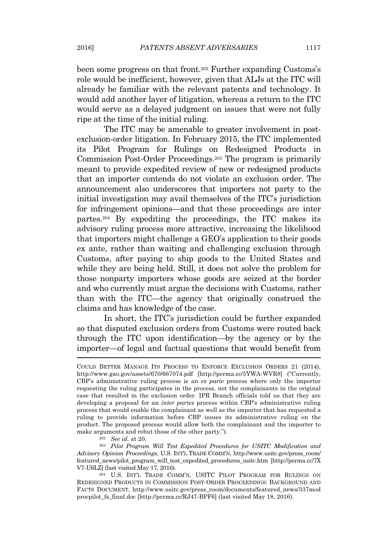been some progress on that front.<sup>202</sup> Further expanding Customs's role would be inefficient, however, given that ALJs at the ITC will already be familiar with the relevant patents and technology. It would add another layer of litigation, whereas a return to the ITC would serve as a delayed judgment on issues that were not fully ripe at the time of the initial ruling.

The ITC may be amenable to greater involvement in postexclusion-order litigation. In February 2015, the ITC implemented its Pilot Program for Rulings on Redesigned Products in Commission Post-Order Proceedings.<sup>203</sup> The program is primarily meant to provide expedited review of new or redesigned products that an importer contends do not violate an exclusion order. The announcement also underscores that importers not party to the initial investigation may avail themselves of the ITC's jurisdiction for infringement opinions—and that these proceedings are inter partes.<sup>204</sup> By expediting the proceedings, the ITC makes its advisory ruling process more attractive, increasing the likelihood that importers might challenge a GEO's application to their goods ex ante, rather than waiting and challenging exclusion through Customs, after paying to ship goods to the United States and while they are being held. Still, it does not solve the problem for those nonparty importers whose goods are seized at the border and who currently must argue the decisions with Customs, rather than with the ITC—the agency that originally construed the claims and has knowledge of the case.

In short, the ITC's jurisdiction could be further expanded so that disputed exclusion orders from Customs were routed back through the ITC upon identification—by the agency or by the importer—of legal and factual questions that would benefit from

<sup>202</sup> *See id.* at 20.

<sup>203</sup> *Pilot Program Will Test Expedited Procedures for USITC Modification and Advisory Opinion Proceedings*, U.S. INT'<sup>L</sup> TRADE COMM'N, http://www.usitc.gov/press\_room/ featured\_news/pilot\_program\_will\_test\_expedited\_procedures\_usitc.htm [http://perma.cc/7X V7-U6LZ] (last visited May 17, 2016).

<sup>204</sup> U.S. INT'<sup>L</sup> TRADE COMM'N, USITC PILOT PROGRAM FOR RULINGS ON REDESIGNED PRODUCTS IN COMMISSION POST-ORDER PROCEEDINGS: BACKGROUND AND FACTS DOCUMENT, http://www.usitc.gov/press\_room/documents/featured\_news/337mod procpilot\_fs\_final.doc [http://perma.cc/RJ47-BPF6] (last visited May 18, 2016).

COULD BETTER MANAGE ITS PROCESS TO ENFORCE EXCLUSION ORDERS 21 (2014), http://www.gao.gov/assets/670/667074.pdf [http://perma.cc/5YWA-WVR8] ("Currently, CBP's administrative ruling process is an *ex parte* process where only the importer requesting the ruling participates in the process, not the complainants in the original case that resulted in the exclusion order. IPR Branch officials told us that they are developing a proposal for an *inter partes* process within CBP's administrative ruling process that would enable the complainant as well as the importer that has requested a ruling to provide information before CBP issues its administrative ruling on the product. The proposed process would allow both the complainant and the importer to make arguments and rebut those of the other party.").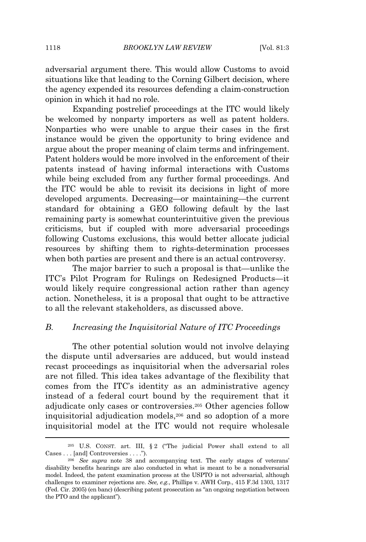adversarial argument there. This would allow Customs to avoid situations like that leading to the Corning Gilbert decision, where the agency expended its resources defending a claim-construction opinion in which it had no role.

Expanding postrelief proceedings at the ITC would likely be welcomed by nonparty importers as well as patent holders. Nonparties who were unable to argue their cases in the first instance would be given the opportunity to bring evidence and argue about the proper meaning of claim terms and infringement. Patent holders would be more involved in the enforcement of their patents instead of having informal interactions with Customs while being excluded from any further formal proceedings. And the ITC would be able to revisit its decisions in light of more developed arguments. Decreasing—or maintaining—the current standard for obtaining a GEO following default by the last remaining party is somewhat counterintuitive given the previous criticisms, but if coupled with more adversarial proceedings following Customs exclusions, this would better allocate judicial resources by shifting them to rights-determination processes when both parties are present and there is an actual controversy.

The major barrier to such a proposal is that—unlike the ITC's Pilot Program for Rulings on Redesigned Products—it would likely require congressional action rather than agency action. Nonetheless, it is a proposal that ought to be attractive to all the relevant stakeholders, as discussed above.

#### *B. Increasing the Inquisitorial Nature of ITC Proceedings*

The other potential solution would not involve delaying the dispute until adversaries are adduced, but would instead recast proceedings as inquisitorial when the adversarial roles are not filled. This idea takes advantage of the flexibility that comes from the ITC's identity as an administrative agency instead of a federal court bound by the requirement that it adjudicate only cases or controversies.<sup>205</sup> Other agencies follow inquisitorial adjudication models,<sup>206</sup> and so adoption of a more inquisitorial model at the ITC would not require wholesale

<sup>205</sup> U.S. CONST. art. III, § 2 ("The judicial Power shall extend to all Cases . . . [and] Controversies . . . .").

<sup>206</sup> *See supra* note 38 and accompanying text. The early stages of veterans' disability benefits hearings are also conducted in what is meant to be a nonadversarial model. Indeed, the patent examination process at the USPTO is not adversarial, although challenges to examiner rejections are. *See, e.g.*, Phillips v. AWH Corp., 415 F.3d 1303, 1317 (Fed. Cir. 2005) (en banc) (describing patent prosecution as "an ongoing negotiation between the PTO and the applicant").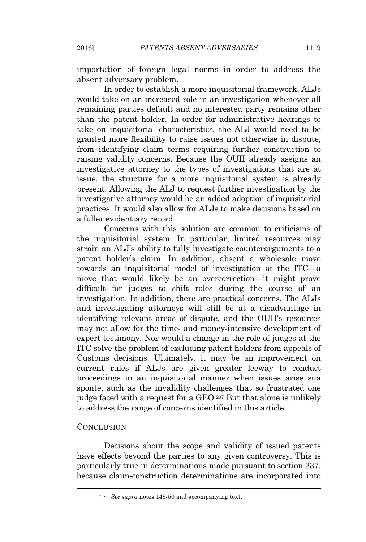importation of foreign legal norms in order to address the absent adversary problem.

In order to establish a more inquisitorial framework, ALJs would take on an increased role in an investigation whenever all remaining parties default and no interested party remains other than the patent holder. In order for administrative hearings to take on inquisitorial characteristics, the ALJ would need to be granted more flexibility to raise issues not otherwise in dispute, from identifying claim terms requiring further construction to raising validity concerns. Because the OUII already assigns an investigative attorney to the types of investigations that are at issue, the structure for a more inquisitorial system is already present. Allowing the ALJ to request further investigation by the investigative attorney would be an added adoption of inquisitorial practices. It would also allow for ALJs to make decisions based on a fuller evidentiary record.

Concerns with this solution are common to criticisms of the inquisitorial system. In particular, limited resources may strain an ALJ's ability to fully investigate counterarguments to a patent holder's claim. In addition, absent a wholesale move towards an inquisitorial model of investigation at the ITC—a move that would likely be an overcorrection—it might prove difficult for judges to shift roles during the course of an investigation. In addition, there are practical concerns. The ALJs and investigating attorneys will still be at a disadvantage in identifying relevant areas of dispute, and the OUII's resources may not allow for the time- and money-intensive development of expert testimony. Nor would a change in the role of judges at the ITC solve the problem of excluding patent holders from appeals of Customs decisions. Ultimately, it may be an improvement on current rules if ALJs are given greater leeway to conduct proceedings in an inquisitorial manner when issues arise sua sponte, such as the invalidity challenges that so frustrated one judge faced with a request for a GEO.<sup>207</sup> But that alone is unlikely to address the range of concerns identified in this article.

#### **CONCLUSION**

Decisions about the scope and validity of issued patents have effects beyond the parties to any given controversy. This is particularly true in determinations made pursuant to section 337, because claim-construction determinations are incorporated into

<sup>207</sup> *See supra* notes 149-50 and accompanying text.